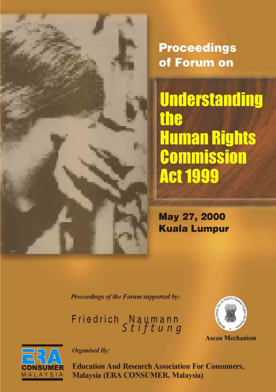**Proceedings** of Forum on

**Understanding the Human Rights Commission Act 1999** 

May 27, 2000 **Kuala Lumpur** 

Proceedings of the Forum supported by:

Friedrich Naumann<br>Stiftung



**Asean Mechanism** 



**Organised By:** 

**Education And Research Association For Consumers,** Malaysia (ERA CONSUMER, Malaysia)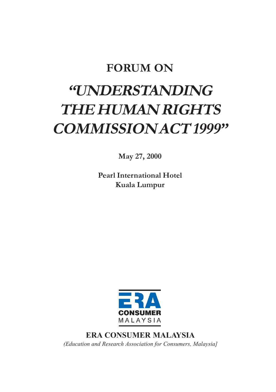### **FORUM ON**

# **"UNDERSTANDING THE HUMAN RIGHTS COMMISSION ACT 1999"**

**May 27, 2000**

**Pearl International Hotel Kuala Lumpur**



**ERA CONSUMER MALAYSIA** *(Education and Research Association for Consumers, Malaysia]*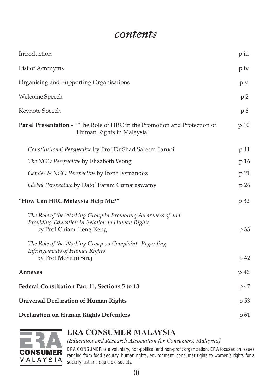### *contents*

| Introduction                                                                                                                                                                                       | p iii |
|----------------------------------------------------------------------------------------------------------------------------------------------------------------------------------------------------|-------|
| List of Acronyms                                                                                                                                                                                   |       |
| Organising and Supporting Organisations                                                                                                                                                            |       |
| Welcome Speech                                                                                                                                                                                     |       |
| Keynote Speech                                                                                                                                                                                     | p 6   |
| <b>Panel Presentation -</b> "The Role of HRC in the Promotion and Protection of<br>Human Rights in Malaysia"                                                                                       | p 10  |
| Constitutional Perspective by Prof Dr Shad Saleem Faruqi                                                                                                                                           | p 11  |
| The NGO Perspective by Elizabeth Wong                                                                                                                                                              | p 16  |
| Gender & NGO Perspective by Irene Fernandez                                                                                                                                                        | p 21  |
| Global Perspective by Dato' Param Cumaraswamy                                                                                                                                                      | p 26  |
| "How Can HRC Malaysia Help Me?"                                                                                                                                                                    | p 32  |
| The Role of the Working Group in Promoting Awareness of and<br>Providing Education in Relation to Human Rights<br>by Prof Chiam Heng Keng<br>The Role of the Working Group on Complaints Regarding | p 33  |
| Infringements of Human Rights<br>by Prof Mehrun Siraj                                                                                                                                              | p 42  |
| Annexes                                                                                                                                                                                            | p 46  |
| Federal Constitution Part 11, Sections 5 to 13                                                                                                                                                     | p 47  |
| <b>Universal Declaration of Human Rights</b>                                                                                                                                                       | p 53  |
| Declaration on Human Rights Defenders                                                                                                                                                              | p 61  |



### **ERA CONSUMER MALAYSIA**

*(Education and Research Association for Consumers, Malaysia]*

ERA CONSUMER is a voluntary, non-political and non-profit organization. ERA focuses on issues ranging from food security, human rights, environment, consumer rights to women's rights for a socially just and equitable society.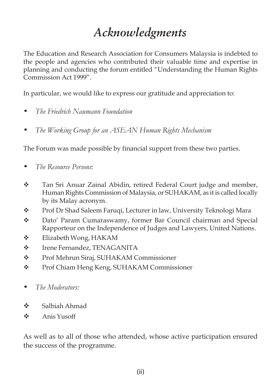# *Acknowledgments*

The Education and Research Association for Consumers Malaysia is indebted to the people and agencies who contributed their valuable time and expertise in planning and conducting the forum entitled "Understanding the Human Rights Commission Act 1999".

In particular, we would like to express our gratitude and appreciation to:

- *The Friedrich Naumann Foundation*
- *The Working Group for an ASEAN Human Rights Mechanism*

The Forum was made possible by financial support from these two parties.

- *The Resource Persons*:
- Tan Sri Anuar Zainal Abidin, retired Federal Court judge and member, Human Rights Commission of Malaysia, or SUHAKAM, as it is called locally by its Malay acronym.
- \* Prof Dr Shad Saleem Faruqi, Lecturer in law, University Teknologi Mara
- Dato' Param Cumaraswamy, former Bar Council chairman and Special Rapporteur on the Independence of Judges and Lawyers, United Nations.
- Elizabeth Wong, HAKAM
- $\div$  Irene Fernandez, TENAGANITA
- Prof Mehrun Siraj, SUHAKAM Commissioner
- Prof Chiam Heng Keng, SUHAKAM Commissioner
- *The Moderators:*
- Salbiah Ahmad
- $\triangle$  Anis Yusoff

As well as to all of those who attended, whose active participation ensured the success of the programme.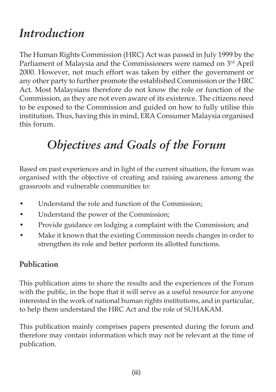# *Introduction*

The Human Rights Commission (HRC) Act was passed in July 1999 by the Parliament of Malaysia and the Commissioners were named on 3rd April 2000. However, not much effort was taken by either the government or any other party to further promote the established Commission or the HRC Act. Most Malaysians therefore do not know the role or function of the Commission, as they are not even aware of its existence. The citizens need to be exposed to the Commission and guided on how to fully utilise this institution. Thus, having this in mind, ERA Consumer Malaysia organised this forum.

# *Objectives and Goals of the Forum*

Based on past experiences and in light of the current situation, the forum was organised with the objective of creating and raising awareness among the grassroots and vulnerable communities to:

- Understand the role and function of the Commission;
- Understand the power of the Commission;
- Provide guidance on lodging a complaint with the Commission; and
- Make it known that the existing Commission needs changes in order to strengthen its role and better perform its allotted functions.

### **Publication**

This publication aims to share the results and the experiences of the Forum with the public, in the hope that it will serve as a useful resource for anyone interested in the work of national human rights institutions, and in particular, to help them understand the HRC Act and the role of SUHAKAM.

This publication mainly comprises papers presented during the forum and therefore may contain information which may not be relevant at the time of publication.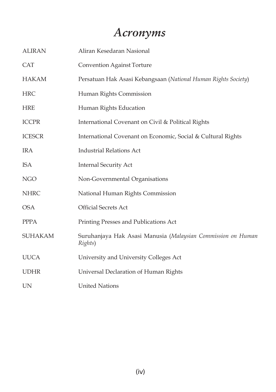# *Acronyms*

| <b>ALIRAN</b>  | Aliran Kesedaran Nasional                                               |
|----------------|-------------------------------------------------------------------------|
| <b>CAT</b>     | Convention Against Torture                                              |
| <b>HAKAM</b>   | Persatuan Hak Asasi Kebangsaan (National Human Rights Society)          |
| <b>HRC</b>     | Human Rights Commission                                                 |
| <b>HRE</b>     | Human Rights Education                                                  |
| <b>ICCPR</b>   | International Covenant on Civil & Political Rights                      |
| <b>ICESCR</b>  | International Covenant on Economic, Social & Cultural Rights            |
| IRA            | <b>Industrial Relations Act</b>                                         |
| <b>ISA</b>     | <b>Internal Security Act</b>                                            |
| NGO            | Non-Governmental Organisations                                          |
| <b>NHRC</b>    | National Human Rights Commission                                        |
| <b>OSA</b>     | Official Secrets Act                                                    |
| <b>PPPA</b>    | Printing Presses and Publications Act                                   |
| <b>SUHAKAM</b> | Suruhanjaya Hak Asasi Manusia (Malaysian Commission on Human<br>Rights) |
| <b>UUCA</b>    | University and University Colleges Act                                  |
| <b>UDHR</b>    | Universal Declaration of Human Rights                                   |
| UN             | <b>United Nations</b>                                                   |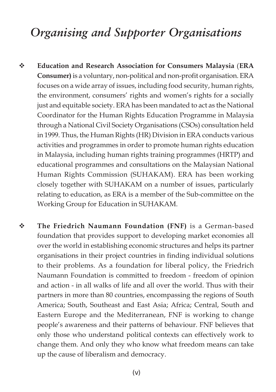# *Organising and Supporter Organisations*

- **Education and Research Association for Consumers Malaysia** (**ERA Consumer)** is a voluntary, non-political and non-profit organisation. ERA focuses on a wide array of issues, including food security, human rights, the environment, consumers' rights and women's rights for a socially just and equitable society. ERA has been mandated to act as the National Coordinator for the Human Rights Education Programme in Malaysia through a National Civil Society Organisations (CSOs) consultation held in 1999. Thus, the Human Rights (HR) Division in ERA conducts various activities and programmes in order to promote human rights education in Malaysia, including human rights training programmes (HRTP) and educational programmes and consultations on the Malaysian National Human Rights Commission (SUHAKAM). ERA has been working closely together with SUHAKAM on a number of issues, particularly relating to education, as ERA is a member of the Sub-committee on the Working Group for Education in SUHAKAM.
- **The Friedrich Naumann Foundation (FNF)** is a German-based foundation that provides support to developing market economies all over the world in establishing economic structures and helps its partner organisations in their project countries in finding individual solutions to their problems. As a foundation for liberal policy, the Friedrich Naumann Foundation is committed to freedom - freedom of opinion and action - in all walks of life and all over the world. Thus with their partners in more than 80 countries, encompassing the regions of South America; South, Southeast and East Asia; Africa; Central, South and Eastern Europe and the Mediterranean, FNF is working to change people's awareness and their patterns of behaviour. FNF believes that only those who understand political contexts can effectively work to change them. And only they who know what freedom means can take up the cause of liberalism and democracy.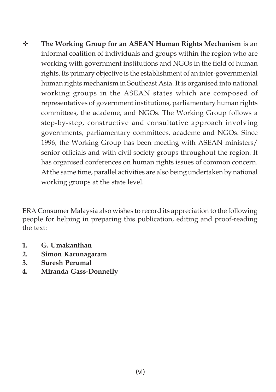**The Working Group for an ASEAN Human Rights Mechanism** is an informal coalition of individuals and groups within the region who are working with government institutions and NGOs in the field of human rights. Its primary objective is the establishment of an inter-governmental human rights mechanism in Southeast Asia. It is organised into national working groups in the ASEAN states which are composed of representatives of government institutions, parliamentary human rights committees, the academe, and NGOs. The Working Group follows a step-by-step, constructive and consultative approach involving governments, parliamentary committees, academe and NGOs. Since 1996, the Working Group has been meeting with ASEAN ministers/ senior officials and with civil society groups throughout the region. It has organised conferences on human rights issues of common concern. At the same time, parallel activities are also being undertaken by national working groups at the state level.

ERA Consumer Malaysia also wishes to record its appreciation to the following people for helping in preparing this publication, editing and proof-reading the text:

- **1. G. Umakanthan**
- **2. Simon Karunagaram**
- **3. Suresh Perumal**
- **4. Miranda Gass-Donnelly**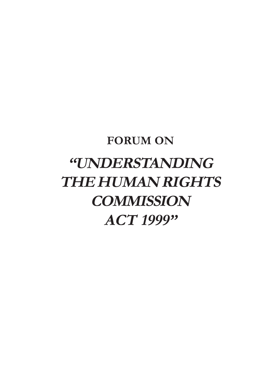# **FORUM ON "UNDERSTANDING THE HUMAN RIGHTS COMMISSION ACT 1999"**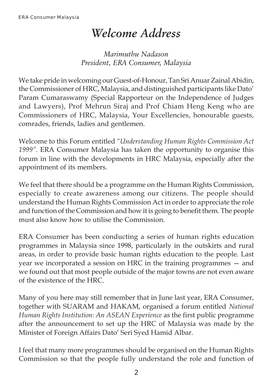## *Welcome Address*

*Marimuthu Nadason President, ERA Consumer, Malaysia*

We take pride in welcoming our Guest-of-Honour, Tan Sri Anuar Zainal Abidin, the Commissioner of HRC, Malaysia, and distinguished participants like Dato' Param Cumaraswamy (Special Rapporteur on the Independence of Judges and Lawyers), Prof Mehrun Siraj and Prof Chiam Heng Keng who are Commissioners of HRC, Malaysia, Your Excellencies, honourable guests, comrades, friends, ladies and gentlemen.

Welcome to this Forum entitled *"Understanding Human Rights Commission Act 1999"*. ERA Consumer Malaysia has taken the opportunity to organise this forum in line with the developments in HRC Malaysia, especially after the appointment of its members.

We feel that there should be a programme on the Human Rights Commission, especially to create awareness among our citizens. The people should understand the Human Rights Commission Act in order to appreciate the role and function of the Commission and how it is going to benefit them. The people must also know how to utilise the Commission.

ERA Consumer has been conducting a series of human rights education programmes in Malaysia since 1998, particularly in the outskirts and rural areas, in order to provide basic human rights education to the people. Last year we incorporated a session on HRC in the training programmes — and we found out that most people outside of the major towns are not even aware of the existence of the HRC.

Many of you here may still remember that in June last year, ERA Consumer, together with SUARAM and HAKAM, organised a forum entitled *National Human Rights Institution: An ASEAN Experience* as the first public programme after the announcement to set up the HRC of Malaysia was made by the Minister of Foreign Affairs Dato' Seri Syed Hamid Albar.

I feel that many more programmes should be organised on the Human Rights Commission so that the people fully understand the role and function of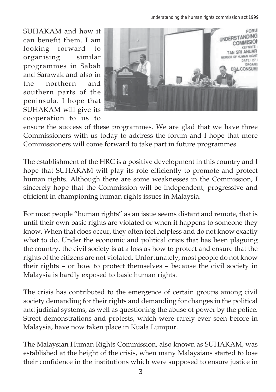*understanding the human rights commission act 1999*

SUHAKAM and how it can benefit them. I am looking forward to organising similar programmes in Sabah and Sarawak and also in the northern and southern parts of the peninsula. I hope that SUHAKAM will give its cooperation to us to



ensure the success of these programmes. We are glad that we have three Commissioners with us today to address the forum and I hope that more Commissioners will come forward to take part in future programmes.

The establishment of the HRC is a positive development in this country and I hope that SUHAKAM will play its role efficiently to promote and protect human rights. Although there are some weaknesses in the Commission, I sincerely hope that the Commission will be independent, progressive and efficient in championing human rights issues in Malaysia.

For most people "human rights" as an issue seems distant and remote, that is until their own basic rights are violated or when it happens to someone they know. When that does occur, they often feel helpless and do not know exactly what to do. Under the economic and political crisis that has been plaguing the country, the civil society is at a loss as how to protect and ensure that the rights of the citizens are not violated. Unfortunately, most people do not know their rights – or how to protect themselves – because the civil society in Malaysia is hardly exposed to basic human rights.

The crisis has contributed to the emergence of certain groups among civil society demanding for their rights and demanding for changes in the political and judicial systems, as well as questioning the abuse of power by the police. Street demonstrations and protests, which were rarely ever seen before in Malaysia, have now taken place in Kuala Lumpur.

The Malaysian Human Rights Commission, also known as SUHAKAM, was established at the height of the crisis, when many Malaysians started to lose their confidence in the institutions which were supposed to ensure justice in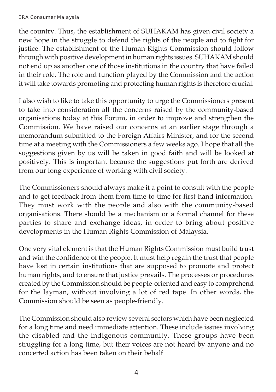#### ERA Consumer Malaysia

the country. Thus, the establishment of SUHAKAM has given civil society a new hope in the struggle to defend the rights of the people and to fight for justice. The establishment of the Human Rights Commission should follow through with positive development in human rights issues. SUHAKAM should not end up as another one of those institutions in the country that have failed in their role. The role and function played by the Commission and the action it will take towards promoting and protecting human rights is therefore crucial.

I also wish to like to take this opportunity to urge the Commissioners present to take into consideration all the concerns raised by the community-based organisations today at this Forum, in order to improve and strengthen the Commission. We have raised our concerns at an earlier stage through a memorandum submitted to the Foreign Affairs Minister, and for the second time at a meeting with the Commissioners a few weeks ago. I hope that all the suggestions given by us will be taken in good faith and will be looked at positively. This is important because the suggestions put forth are derived from our long experience of working with civil society.

The Commissioners should always make it a point to consult with the people and to get feedback from them from time-to-time for first-hand information. They must work with the people and also with the community-based organisations. There should be a mechanism or a formal channel for these parties to share and exchange ideas, in order to bring about positive developments in the Human Rights Commission of Malaysia.

One very vital element is that the Human Rights Commission must build trust and win the confidence of the people. It must help regain the trust that people have lost in certain institutions that are supposed to promote and protect human rights, and to ensure that justice prevails. The processes or procedures created by the Commission should be people-oriented and easy to comprehend for the layman, without involving a lot of red tape. In other words, the Commission should be seen as people-friendly.

The Commission should also review several sectors which have been neglected for a long time and need immediate attention. These include issues involving the disabled and the indigenous community. These groups have been struggling for a long time, but their voices are not heard by anyone and no concerted action has been taken on their behalf.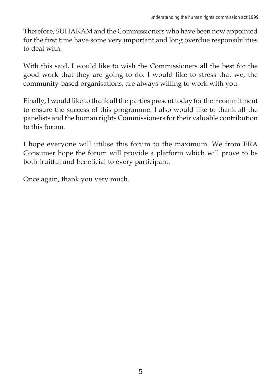Therefore, SUHAKAM and the Commissioners who have been now appointed for the first time have some very important and long overdue responsibilities to deal with.

With this said, I would like to wish the Commissioners all the best for the good work that they are going to do. I would like to stress that we, the community-based organisations, are always willing to work with you.

Finally, I would like to thank all the parties present today for their commitment to ensure the success of this programme. I also would like to thank all the panelists and the human rights Commissioners for their valuable contribution to this forum.

I hope everyone will utilise this forum to the maximum. We from ERA Consumer hope the forum will provide a platform which will prove to be both fruitful and beneficial to every participant.

Once again, thank you very much.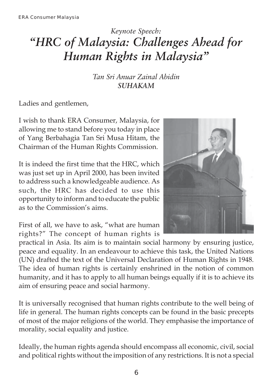### *Keynote Speech: "HRC of Malaysia: Challenges Ahead for Human Rights in Malaysia"*

*Tan Sri Anuar Zainal Abidin SUHAKAM*

Ladies and gentlemen,

I wish to thank ERA Consumer, Malaysia, for allowing me to stand before you today in place of Yang Berbahagia Tan Sri Musa Hitam, the Chairman of the Human Rights Commission.

It is indeed the first time that the HRC, which was just set up in April 2000, has been invited to address such a knowledgeable audience. As such, the HRC has decided to use this opportunity to inform and to educate the public as to the Commission's aims.



First of all, we have to ask, "what are human rights?" The concept of human rights is

practical in Asia. Its aim is to maintain social harmony by ensuring justice, peace and equality. In an endeavour to achieve this task, the United Nations (UN) drafted the text of the Universal Declaration of Human Rights in 1948. The idea of human rights is certainly enshrined in the notion of common humanity, and it has to apply to all human beings equally if it is to achieve its aim of ensuring peace and social harmony.

It is universally recognised that human rights contribute to the well being of life in general. The human rights concepts can be found in the basic precepts of most of the major religions of the world. They emphasise the importance of morality, social equality and justice.

Ideally, the human rights agenda should encompass all economic, civil, social and political rights without the imposition of any restrictions. It is not a special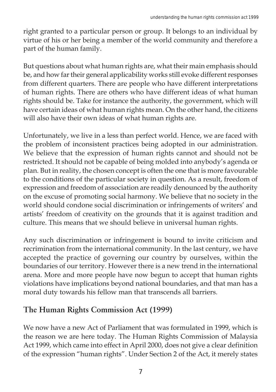right granted to a particular person or group. It belongs to an individual by virtue of his or her being a member of the world community and therefore a part of the human family.

But questions about what human rights are, what their main emphasis should be, and how far their general applicability works still evoke different responses from different quarters. There are people who have different interpretations of human rights. There are others who have different ideas of what human rights should be. Take for instance the authority, the government, which will have certain ideas of what human rights mean. On the other hand, the citizens will also have their own ideas of what human rights are.

Unfortunately, we live in a less than perfect world. Hence, we are faced with the problem of inconsistent practices being adopted in our administration. We believe that the expression of human rights cannot and should not be restricted. It should not be capable of being molded into anybody's agenda or plan. But in reality, the chosen concept is often the one that is more favourable to the conditions of the particular society in question. As a result, freedom of expression and freedom of association are readily denounced by the authority on the excuse of promoting social harmony. We believe that no society in the world should condone social discrimination or infringements of writers' and artists' freedom of creativity on the grounds that it is against tradition and culture. This means that we should believe in universal human rights.

Any such discrimination or infringement is bound to invite criticism and recrimination from the international community. In the last century, we have accepted the practice of governing our country by ourselves, within the boundaries of our territory. However there is a new trend in the international arena. More and more people have now begun to accept that human rights violations have implications beyond national boundaries, and that man has a moral duty towards his fellow man that transcends all barriers.

### **The Human Rights Commission Act (1999)**

We now have a new Act of Parliament that was formulated in 1999, which is the reason we are here today. The Human Rights Commission of Malaysia Act 1999, which came into effect in April 2000, does not give a clear definition of the expression "human rights". Under Section 2 of the Act, it merely states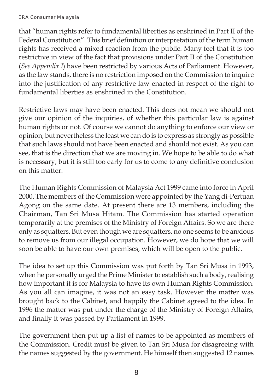that "human rights refer to fundamental liberties as enshrined in Part II of the Federal Constitution". This brief definition or interpretation of the term human rights has received a mixed reaction from the public. Many feel that it is too restrictive in view of the fact that provisions under Part II of the Constitution (*See Appendix I*) have been restricted by various Acts of Parliament. However, as the law stands, there is no restriction imposed on the Commission to inquire into the justification of any restrictive law enacted in respect of the right to fundamental liberties as enshrined in the Constitution.

Restrictive laws may have been enacted. This does not mean we should not give our opinion of the inquiries, of whether this particular law is against human rights or not. Of course we cannot do anything to enforce our view or opinion, but nevertheless the least we can do is to express as strongly as possible that such laws should not have been enacted and should not exist. As you can see, that is the direction that we are moving in. We hope to be able to do what is necessary, but it is still too early for us to come to any definitive conclusion on this matter.

The Human Rights Commission of Malaysia Act 1999 came into force in April 2000. The members of the Commission were appointed by the Yang di-Pertuan Agong on the same date. At present there are 13 members, including the Chairman, Tan Sri Musa Hitam. The Commission has started operation temporarily at the premises of the Ministry of Foreign Affairs. So we are there only as squatters. But even though we are squatters, no one seems to be anxious to remove us from our illegal occupation. However, we do hope that we will soon be able to have our own premises, which will be open to the public.

The idea to set up this Commission was put forth by Tan Sri Musa in 1993, when he personally urged the Prime Minister to establish such a body, realising how important it is for Malaysia to have its own Human Rights Commission. As you all can imagine, it was not an easy task. However the matter was brought back to the Cabinet, and happily the Cabinet agreed to the idea. In 1996 the matter was put under the charge of the Ministry of Foreign Affairs, and finally it was passed by Parliament in 1999.

The government then put up a list of names to be appointed as members of the Commission. Credit must be given to Tan Sri Musa for disagreeing with the names suggested by the government. He himself then suggested 12 names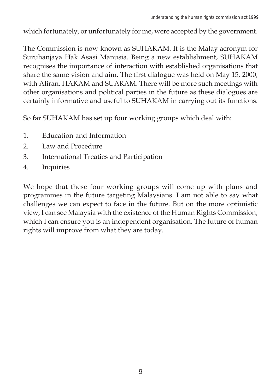which fortunately, or unfortunately for me, were accepted by the government.

The Commission is now known as SUHAKAM. It is the Malay acronym for Suruhanjaya Hak Asasi Manusia. Being a new establishment, SUHAKAM recognises the importance of interaction with established organisations that share the same vision and aim. The first dialogue was held on May 15, 2000, with Aliran, HAKAM and SUARAM. There will be more such meetings with other organisations and political parties in the future as these dialogues are certainly informative and useful to SUHAKAM in carrying out its functions.

So far SUHAKAM has set up four working groups which deal with:

- 1. Education and Information
- 2. Law and Procedure
- 3. International Treaties and Participation
- 4. Inquiries

We hope that these four working groups will come up with plans and programmes in the future targeting Malaysians. I am not able to say what challenges we can expect to face in the future. But on the more optimistic view, I can see Malaysia with the existence of the Human Rights Commission, which I can ensure you is an independent organisation. The future of human rights will improve from what they are today.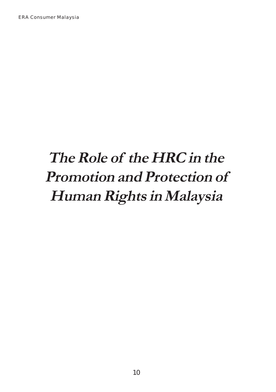# **The Role of the HRC in the Promotion and Protection of Human Rights in Malaysia**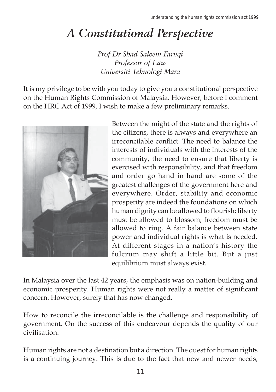# *A Constitutional Perspective*

*Prof Dr Shad Saleem Faruqi Professor of Law Universiti Teknologi Mara*

It is my privilege to be with you today to give you a constitutional perspective on the Human Rights Commission of Malaysia. However, before I comment on the HRC Act of 1999, I wish to make a few preliminary remarks.



Between the might of the state and the rights of the citizens, there is always and everywhere an irreconcilable conflict. The need to balance the interests of individuals with the interests of the community, the need to ensure that liberty is exercised with responsibility, and that freedom and order go hand in hand are some of the greatest challenges of the government here and everywhere. Order, stability and economic prosperity are indeed the foundations on which human dignity can be allowed to flourish; liberty must be allowed to blossom; freedom must be allowed to ring. A fair balance between state power and individual rights is what is needed. At different stages in a nation's history the fulcrum may shift a little bit. But a just equilibrium must always exist.

In Malaysia over the last 42 years, the emphasis was on nation-building and economic prosperity. Human rights were not really a matter of significant concern. However, surely that has now changed.

How to reconcile the irreconcilable is the challenge and responsibility of government. On the success of this endeavour depends the quality of our civilisation.

Human rights are not a destination but a direction. The quest for human rights is a continuing journey. This is due to the fact that new and newer needs,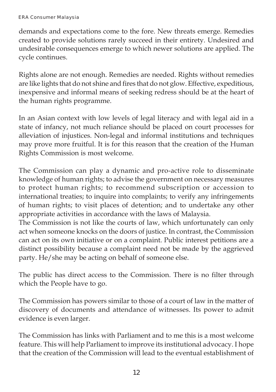demands and expectations come to the fore. New threats emerge. Remedies created to provide solutions rarely succeed in their entirety. Undesired and undesirable consequences emerge to which newer solutions are applied. The cycle continues.

Rights alone are not enough. Remedies are needed. Rights without remedies are like lights that do not shine and fires that do not glow. Effective, expeditious, inexpensive and informal means of seeking redress should be at the heart of the human rights programme.

In an Asian context with low levels of legal literacy and with legal aid in a state of infancy, not much reliance should be placed on court processes for alleviation of injustices. Non-legal and informal institutions and techniques may prove more fruitful. It is for this reason that the creation of the Human Rights Commission is most welcome.

The Commission can play a dynamic and pro-active role to disseminate knowledge of human rights; to advise the government on necessary measures to protect human rights; to recommend subscription or accession to international treaties; to inquire into complaints; to verify any infringements of human rights; to visit places of detention; and to undertake any other appropriate activities in accordance with the laws of Malaysia.

The Commission is not like the courts of law, which unfortunately can only act when someone knocks on the doors of justice. In contrast, the Commission can act on its own initiative or on a complaint. Public interest petitions are a distinct possibility because a complaint need not be made by the aggrieved party. He/she may be acting on behalf of someone else.

The public has direct access to the Commission. There is no filter through which the People have to go.

The Commission has powers similar to those of a court of law in the matter of discovery of documents and attendance of witnesses. Its power to admit evidence is even larger.

The Commission has links with Parliament and to me this is a most welcome feature. This will help Parliament to improve its institutional advocacy. I hope that the creation of the Commission will lead to the eventual establishment of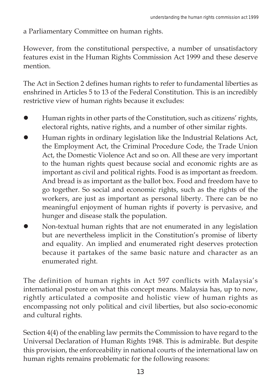a Parliamentary Committee on human rights.

However, from the constitutional perspective, a number of unsatisfactory features exist in the Human Rights Commission Act 1999 and these deserve mention.

The Act in Section 2 defines human rights to refer to fundamental liberties as enshrined in Articles 5 to 13 of the Federal Constitution. This is an incredibly restrictive view of human rights because it excludes:

- Human rights in other parts of the Constitution, such as citizens' rights, electoral rights, native rights, and a number of other similar rights.
- Human rights in ordinary legislation like the Industrial Relations Act, the Employment Act, the Criminal Procedure Code, the Trade Union Act, the Domestic Violence Act and so on. All these are very important to the human rights quest because social and economic rights are as important as civil and political rights. Food is as important as freedom. And bread is as important as the ballot box. Food and freedom have to go together. So social and economic rights, such as the rights of the workers, are just as important as personal liberty. There can be no meaningful enjoyment of human rights if poverty is pervasive, and hunger and disease stalk the population.
- Non-textual human rights that are not enumerated in any legislation but are nevertheless implicit in the Constitution's promise of liberty and equality. An implied and enumerated right deserves protection because it partakes of the same basic nature and character as an enumerated right.

The definition of human rights in Act 597 conflicts with Malaysia's international posture on what this concept means. Malaysia has, up to now, rightly articulated a composite and holistic view of human rights as encompassing not only political and civil liberties, but also socio-economic and cultural rights.

Section 4(4) of the enabling law permits the Commission to have regard to the Universal Declaration of Human Rights 1948. This is admirable. But despite this provision, the enforceability in national courts of the international law on human rights remains problematic for the following reasons: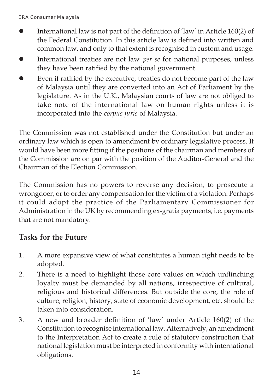- International law is not part of the definition of 'law' in Article 160(2) of the Federal Constitution. In this article law is defined into written and common law, and only to that extent is recognised in custom and usage.
- International treaties are not law *per se* for national purposes, unless they have been ratified by the national government.
- Even if ratified by the executive, treaties do not become part of the law of Malaysia until they are converted into an Act of Parliament by the legislature. As in the U.K., Malaysian courts of law are not obliged to take note of the international law on human rights unless it is incorporated into the *corpus juris* of Malaysia.

The Commission was not established under the Constitution but under an ordinary law which is open to amendment by ordinary legislative process. It would have been more fitting if the positions of the chairman and members of the Commission are on par with the position of the Auditor-General and the Chairman of the Election Commission.

The Commission has no powers to reverse any decision, to prosecute a wrongdoer, or to order any compensation for the victim of a violation. Perhaps it could adopt the practice of the Parliamentary Commissioner for Administration in the UK by recommending ex-gratia payments, i.e. payments that are not mandatory.

### **Tasks for the Future**

- 1. A more expansive view of what constitutes a human right needs to be adopted.
- 2. There is a need to highlight those core values on which unflinching loyalty must be demanded by all nations, irrespective of cultural, religious and historical differences. But outside the core, the role of culture, religion, history, state of economic development, etc. should be taken into consideration.
- 3. A new and broader definition of 'law' under Article 160(2) of the Constitution to recognise international law. Alternatively, an amendment to the Interpretation Act to create a rule of statutory construction that national legislation must be interpreted in conformity with international obligations.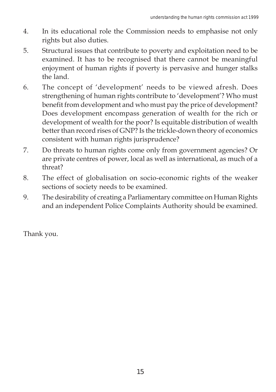- 4. In its educational role the Commission needs to emphasise not only rights but also duties.
- 5. Structural issues that contribute to poverty and exploitation need to be examined. It has to be recognised that there cannot be meaningful enjoyment of human rights if poverty is pervasive and hunger stalks the land.
- 6. The concept of 'development' needs to be viewed afresh. Does strengthening of human rights contribute to 'development'? Who must benefit from development and who must pay the price of development? Does development encompass generation of wealth for the rich or development of wealth for the poor? Is equitable distribution of wealth better than record rises of GNP? Is the trickle-down theory of economics consistent with human rights jurisprudence?
- 7. Do threats to human rights come only from government agencies? Or are private centres of power, local as well as international, as much of a threat?
- 8. The effect of globalisation on socio-economic rights of the weaker sections of society needs to be examined.
- 9. The desirability of creating a Parliamentary committee on Human Rights and an independent Police Complaints Authority should be examined.

Thank you.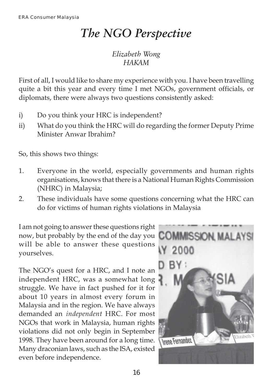# *The NGO Perspective*

#### *Elizabeth Wong HAKAM*

First of all, I would like to share my experience with you. I have been travelling quite a bit this year and every time I met NGOs, government officials, or diplomats, there were always two questions consistently asked:

- i) Do you think your HRC is independent?
- ii) What do you think the HRC will do regarding the former Deputy Prime Minister Anwar Ibrahim?

So, this shows two things:

- 1. Everyone in the world, especially governments and human rights organisations, knows that there is a National Human Rights Commission (NHRC) in Malaysia;
- 2. These individuals have some questions concerning what the HRC can do for victims of human rights violations in Malaysia

I am not going to answer these questions right now, but probably by the end of the day you will be able to answer these questions yourselves.

The NGO's quest for a HRC, and I note an independent HRC, was a somewhat long struggle. We have in fact pushed for it for about 10 years in almost every forum in Malaysia and in the region. We have always demanded an *independent* HRC. For most NGOs that work in Malaysia, human rights violations did not only begin in September 1998. They have been around for a long time. Many draconian laws, such as the ISA, existed even before independence.

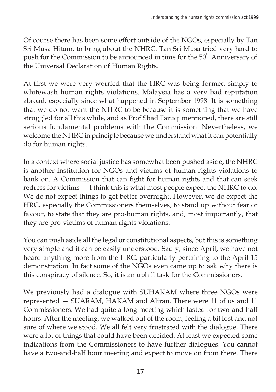Of course there has been some effort outside of the NGOs, especially by Tan Sri Musa Hitam, to bring about the NHRC. Tan Sri Musa tried very hard to push for the Commission to be announced in time for the 50<sup>th</sup> Anniversary of the Universal Declaration of Human Rights.

At first we were very worried that the HRC was being formed simply to whitewash human rights violations. Malaysia has a very bad reputation abroad, especially since what happened in September 1998. It is something that we do not want the NHRC to be because it is something that we have struggled for all this while, and as Prof Shad Faruqi mentioned, there are still serious fundamental problems with the Commission. Nevertheless, we welcome the NHRC in principle because we understand what it can potentially do for human rights.

In a context where social justice has somewhat been pushed aside, the NHRC is another institution for NGOs and victims of human rights violations to bank on. A Commission that can fight for human rights and that can seek redress for victims — I think this is what most people expect the NHRC to do. We do not expect things to get better overnight. However, we do expect the HRC, especially the Commissioners themselves, to stand up without fear or favour, to state that they are pro-human rights, and, most importantly, that they are pro-victims of human rights violations.

You can push aside all the legal or constitutional aspects, but this is something very simple and it can be easily understood. Sadly, since April, we have not heard anything more from the HRC, particularly pertaining to the April 15 demonstration. In fact some of the NGOs even came up to ask why there is this conspiracy of silence. So, it is an uphill task for the Commissioners.

We previously had a dialogue with SUHAKAM where three NGOs were represented — SUARAM, HAKAM and Aliran. There were 11 of us and 11 Commissioners. We had quite a long meeting which lasted for two-and-half hours. After the meeting, we walked out of the room, feeling a bit lost and not sure of where we stood. We all felt very frustrated with the dialogue. There were a lot of things that could have been decided. At least we expected some indications from the Commissioners to have further dialogues. You cannot have a two-and-half hour meeting and expect to move on from there. There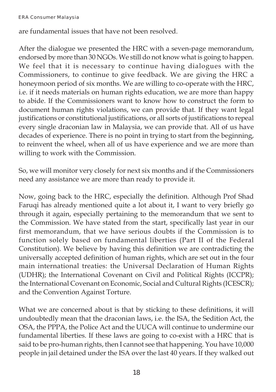are fundamental issues that have not been resolved.

After the dialogue we presented the HRC with a seven-page memorandum, endorsed by more than 30 NGOs. We still do not know what is going to happen. We feel that it is necessary to continue having dialogues with the Commissioners, to continue to give feedback. We are giving the HRC a honeymoon period of six months. We are willing to co-operate with the HRC, i.e. if it needs materials on human rights education, we are more than happy to abide. If the Commissioners want to know how to construct the form to document human rights violations, we can provide that. If they want legal justifications or constitutional justifications, or all sorts of justifications to repeal every single draconian law in Malaysia, we can provide that. All of us have decades of experience. There is no point in trying to start from the beginning, to reinvent the wheel, when all of us have experience and we are more than willing to work with the Commission.

So, we will monitor very closely for next six months and if the Commissioners need any assistance we are more than ready to provide it.

Now, going back to the HRC, especially the definition. Although Prof Shad Faruqi has already mentioned quite a lot about it, I want to very briefly go through it again, especially pertaining to the memorandum that we sent to the Commission. We have stated from the start, specifically last year in our first memorandum, that we have serious doubts if the Commission is to function solely based on fundamental liberties (Part II of the Federal Constitution). We believe by having this definition we are contradicting the universally accepted definition of human rights, which are set out in the four main international treaties: the Universal Declaration of Human Rights (UDHR); the International Covenant on Civil and Political Rights (ICCPR); the International Covenant on Economic, Social and Cultural Rights (ICESCR); and the Convention Against Torture.

What we are concerned about is that by sticking to these definitions, it will undoubtedly mean that the draconian laws, i.e. the ISA, the Sedition Act, the OSA, the PPPA, the Police Act and the UUCA will continue to undermine our fundamental liberties. If these laws are going to co-exist with a HRC that is said to be pro-human rights, then I cannot see that happening. You have 10,000 people in jail detained under the ISA over the last 40 years. If they walked out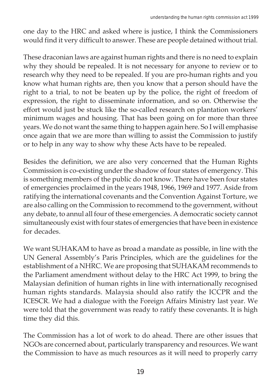one day to the HRC and asked where is justice, I think the Commissioners would find it very difficult to answer. These are people detained without trial.

These draconian laws are against human rights and there is no need to explain why they should be repealed. It is not necessary for anyone to review or to research why they need to be repealed. If you are pro-human rights and you know what human rights are, then you know that a person should have the right to a trial, to not be beaten up by the police, the right of freedom of expression, the right to disseminate information, and so on. Otherwise the effort would just be stuck like the so-called research on plantation workers' minimum wages and housing. That has been going on for more than three years. We do not want the same thing to happen again here. So I will emphasise once again that we are more than willing to assist the Commission to justify or to help in any way to show why these Acts have to be repealed.

Besides the definition, we are also very concerned that the Human Rights Commission is co-existing under the shadow of four states of emergency. This is something members of the public do not know. There have been four states of emergencies proclaimed in the years 1948, 1966, 1969 and 1977. Aside from ratifying the international covenants and the Convention Against Torture, we are also calling on the Commission to recommend to the government, without any debate, to annul all four of these emergencies. A democratic society cannot simultaneously exist with four states of emergencies that have been in existence for decades.

We want SUHAKAM to have as broad a mandate as possible, in line with the UN General Assembly's Paris Principles, which are the guidelines for the establishment of a NHRC. We are proposing that SUHAKAM recommends to the Parliament amendment without delay to the HRC Act 1999, to bring the Malaysian definition of human rights in line with internationally recognised human rights standards. Malaysia should also ratify the ICCPR and the ICESCR. We had a dialogue with the Foreign Affairs Ministry last year. We were told that the government was ready to ratify these covenants. It is high time they did this.

The Commission has a lot of work to do ahead. There are other issues that NGOs are concerned about, particularly transparency and resources. We want the Commission to have as much resources as it will need to properly carry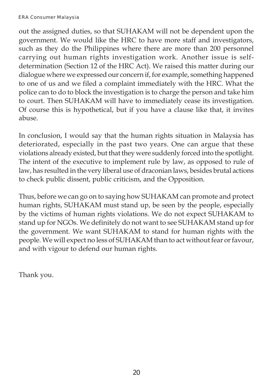#### ERA Consumer Malaysia

out the assigned duties, so that SUHAKAM will not be dependent upon the government. We would like the HRC to have more staff and investigators, such as they do the Philippines where there are more than 200 personnel carrying out human rights investigation work. Another issue is selfdetermination (Section 12 of the HRC Act). We raised this matter during our dialogue where we expressed our concern if, for example, something happened to one of us and we filed a complaint immediately with the HRC. What the police can to do to block the investigation is to charge the person and take him to court. Then SUHAKAM will have to immediately cease its investigation. Of course this is hypothetical, but if you have a clause like that, it invites abuse.

In conclusion, I would say that the human rights situation in Malaysia has deteriorated, especially in the past two years. One can argue that these violations already existed, but that they were suddenly forced into the spotlight. The intent of the executive to implement rule by law, as opposed to rule of law, has resulted in the very liberal use of draconian laws, besides brutal actions to check public dissent, public criticism, and the Opposition.

Thus, before we can go on to saying how SUHAKAM can promote and protect human rights, SUHAKAM must stand up, be seen by the people, especially by the victims of human rights violations. We do not expect SUHAKAM to stand up for NGOs. We definitely do not want to see SUHAKAM stand up for the government. We want SUHAKAM to stand for human rights with the people. We will expect no less of SUHAKAM than to act without fear or favour, and with vigour to defend our human rights.

Thank you.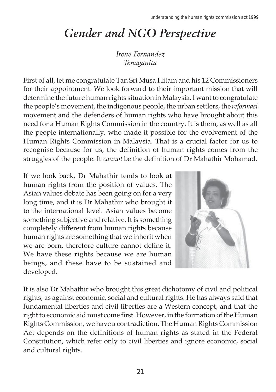# *Gender and NGO Perspective*

*Irene Fernandez Tenaganita*

First of all, let me congratulate Tan Sri Musa Hitam and his 12 Commissioners for their appointment. We look forward to their important mission that will determine the future human rights situation in Malaysia. I want to congratulate the people's movement, the indigenous people, the urban settlers, the *reformasi* movement and the defenders of human rights who have brought about this need for a Human Rights Commission in the country. It is them, as well as all the people internationally, who made it possible for the evolvement of the Human Rights Commission in Malaysia. That is a crucial factor for us to recognise because for us, the definition of human rights comes from the struggles of the people. It *cannot* be the definition of Dr Mahathir Mohamad.

If we look back, Dr Mahathir tends to look at human rights from the position of values. The Asian values debate has been going on for a very long time, and it is Dr Mahathir who brought it to the international level. Asian values become something subjective and relative. It is something completely different from human rights because human rights are something that we inherit when we are born, therefore culture cannot define it. We have these rights because we are human beings, and these have to be sustained and developed.



It is also Dr Mahathir who brought this great dichotomy of civil and political rights, as against economic, social and cultural rights. He has always said that fundamental liberties and civil liberties are a Western concept, and that the right to economic aid must come first. However, in the formation of the Human Rights Commission, we have a contradiction. The Human Rights Commission Act depends on the definitions of human rights as stated in the Federal Constitution, which refer only to civil liberties and ignore economic, social and cultural rights.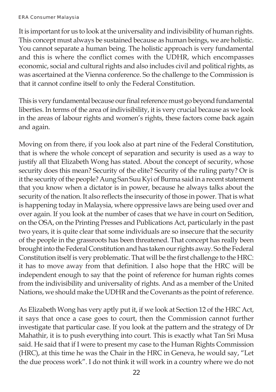It is important for us to look at the universality and indivisibility of human rights. This concept must always be sustained because as human beings, we are holistic. You cannot separate a human being. The holistic approach is very fundamental and this is where the conflict comes with the UDHR, which encompasses economic, social and cultural rights and also includes civil and political rights, as was ascertained at the Vienna conference. So the challenge to the Commission is that it cannot confine itself to only the Federal Constitution.

This is very fundamental because our final reference must go beyond fundamental liberties. In terms of the area of indivisibility, it is very crucial because as we look in the areas of labour rights and women's rights, these factors come back again and again.

Moving on from there, if you look also at part nine of the Federal Constitution, that is where the whole concept of separation and security is used as a way to justify all that Elizabeth Wong has stated. About the concept of security, whose security does this mean? Security of the elite? Security of the ruling party? Or is it the security of the people? Aung San Suu Kyi of Burma said in a recent statement that you know when a dictator is in power, because he always talks about the security of the nation. It also reflects the insecurity of those in power. That is what is happening today in Malaysia, where oppressive laws are being used over and over again. If you look at the number of cases that we have in court on Sedition, on the OSA, on the Printing Presses and Publications Act, particularly in the past two years, it is quite clear that some individuals are so insecure that the security of the people in the grassroots has been threatened. That concept has really been brought into the Federal Constitution and has taken our rights away. So the Federal Constitution itself is very problematic. That will be the first challenge to the HRC: it has to move away from that definition. I also hope that the HRC will be independent enough to say that the point of reference for human rights comes from the indivisibility and universality of rights. And as a member of the United Nations, we should make the UDHR and the Covenants as the point of reference.

As Elizabeth Wong has very aptly put it, if we look at Section 12 of the HRC Act, it says that once a case goes to court, then the Commission cannot further investigate that particular case. If you look at the pattern and the strategy of Dr Mahathir, it is to push everything into court. This is exactly what Tan Sri Musa said. He said that if I were to present my case to the Human Rights Commission (HRC), at this time he was the Chair in the HRC in Geneva, he would say, "Let the due process work". I do not think it will work in a country where we do not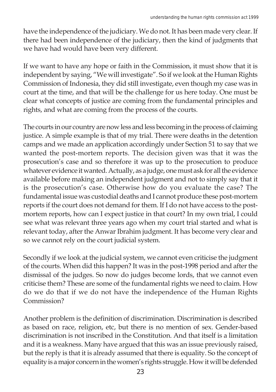have the independence of the judiciary. We do not. It has been made very clear. If there had been independence of the judiciary, then the kind of judgments that we have had would have been very different.

If we want to have any hope or faith in the Commission, it must show that it is independent by saying, "We will investigate". So if we look at the Human Rights Commission of Indonesia, they did still investigate, even though my case was in court at the time, and that will be the challenge for us here today. One must be clear what concepts of justice are coming from the fundamental principles and rights, and what are coming from the process of the courts.

The courts in our country are now less and less becoming in the process of claiming justice. A simple example is that of my trial. There were deaths in the detention camps and we made an application accordingly under Section 51 to say that we wanted the post-mortem reports. The decision given was that it was the prosecution's case and so therefore it was up to the prosecution to produce whatever evidence it wanted. Actually, as a judge, one must ask for all the evidence available before making an independent judgment and not to simply say that it is the prosecution's case. Otherwise how do you evaluate the case? The fundamental issue was custodial deaths and I cannot produce these post-mortem reports if the court does not demand for them. If I do not have access to the postmortem reports, how can I expect justice in that court? In my own trial, I could see what was relevant three years ago when my court trial started and what is relevant today, after the Anwar Ibrahim judgment. It has become very clear and so we cannot rely on the court judicial system.

Secondly if we look at the judicial system, we cannot even criticise the judgment of the courts. When did this happen? It was in the post-1998 period and after the dismissal of the judges. So now do judges become lords, that we cannot even criticise them? These are some of the fundamental rights we need to claim. How do we do that if we do not have the independence of the Human Rights Commission?

Another problem is the definition of discrimination. Discrimination is described as based on race, religion, etc, but there is no mention of sex. Gender-based discrimination is not inscribed in the Constitution. And that itself is a limitation and it is a weakness. Many have argued that this was an issue previously raised, but the reply is that it is already assumed that there is equality. So the concept of equality is a major concern in the women's rights struggle. How it will be defended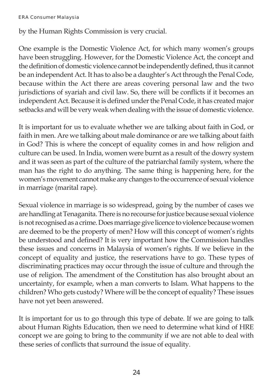by the Human Rights Commission is very crucial.

One example is the Domestic Violence Act, for which many women's groups have been struggling. However, for the Domestic Violence Act, the concept and the definition of domestic violence cannot be independently defined, thus it cannot be an independent Act. It has to also be a daughter's Act through the Penal Code, because within the Act there are areas covering personal law and the two jurisdictions of syariah and civil law. So, there will be conflicts if it becomes an independent Act. Because it is defined under the Penal Code, it has created major setbacks and will be very weak when dealing with the issue of domestic violence.

It is important for us to evaluate whether we are talking about faith in God, or faith in men. Are we talking about male dominance or are we talking about faith in God? This is where the concept of equality comes in and how religion and culture can be used. In India, women were burnt as a result of the dowry system and it was seen as part of the culture of the patriarchal family system, where the man has the right to do anything. The same thing is happening here, for the women's movement cannot make any changes to the occurrence of sexual violence in marriage (marital rape).

Sexual violence in marriage is so widespread, going by the number of cases we are handling at Tenaganita. There is no recourse for justice because sexual violence is not recognised as a crime. Does marriage give licence to violence because women are deemed to be the property of men? How will this concept of women's rights be understood and defined? It is very important how the Commission handles these issues and concerns in Malaysia of women's rights. If we believe in the concept of equality and justice, the reservations have to go. These types of discriminating practices may occur through the issue of culture and through the use of religion. The amendment of the Constitution has also brought about an uncertainty, for example, when a man converts to Islam. What happens to the children? Who gets custody? Where will be the concept of equality? These issues have not yet been answered.

It is important for us to go through this type of debate. If we are going to talk about Human Rights Education, then we need to determine what kind of HRE concept we are going to bring to the community if we are not able to deal with these series of conflicts that surround the issue of equality.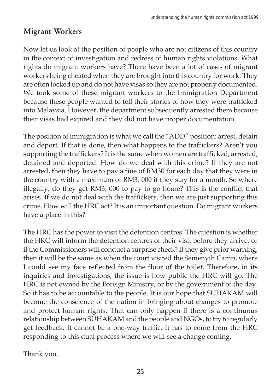### **Migrant Workers**

Now let us look at the position of people who are not citizens of this country in the context of investigation and redress of human rights violations. What rights do migrant workers have? There have been a lot of cases of migrant workers being cheated when they are brought into this country for work. They are often locked up and do not have visas so they are not properly documented. We took some of these migrant workers to the Immigration Department because these people wanted to tell their stories of how they were trafficked into Malaysia. However, the department subsequently arrested them because their visas had expired and they did not have proper documentation.

The position of immigration is what we call the "ADD" position: arrest, detain and deport. If that is done, then what happens to the traffickers? Aren't you supporting the traffickers? It is the same when women are trafficked, arrested, detained and deported. How do we deal with this crime? If they are not arrested, then they have to pay a fine of RM30 for each day that they were in the country with a maximum of RM3, 000 if they stay for a month. So where illegally, do they get RM3, 000 to pay to go home? This is the conflict that arises. If we do not deal with the traffickers, then we are just supporting this crime. How will the HRC act? It is an important question. Do migrant workers have a place in this?

The HRC has the power to visit the detention centres. The question is whether the HRC will inform the detention centres of their visit before they arrive, or if the Commissioners will conduct a surprise check? If they give prior warning, then it will be the same as when the court visited the Semenyih Camp, where I could see my face reflected from the floor of the toilet. Therefore, in its inquiries and investigations, the issue is how public the HRC will go. The HRC is not owned by the Foreign Ministry, or by the government of the day. So it has to be accountable to the people. It is our hope that SUHAKAM will become the conscience of the nation in bringing about changes to promote and protect human rights. That can only happen if there is a continuous relationship between SUHAKAM and the people and NGOs, to try to regularly get feedback. It cannot be a one-way traffic. It has to come from the HRC responding to this dual process where we will see a change coming.

Thank you.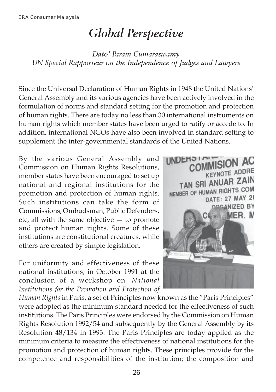# *Global Perspective*

*Dato' Param Cumaraswamy UN Special Rapporteur on the Independence of Judges and Lawyers*

Since the Universal Declaration of Human Rights in 1948 the United Nations' General Assembly and its various agencies have been actively involved in the formulation of norms and standard setting for the promotion and protection of human rights. There are today no less than 30 international instruments on human rights which member states have been urged to ratify or accede to. In addition, international NGOs have also been involved in standard setting to supplement the inter-governmental standards of the United Nations.

By the various General Assembly and Commission on Human Rights Resolutions, member states have been encouraged to set up national and regional institutions for the promotion and protection of human rights. Such institutions can take the form of Commissions, Ombudsman, Public Defenders, etc, all with the same objective — to promote and protect human rights. Some of these institutions are constitutional creatures, while others are created by simple legislation.

For uniformity and effectiveness of these national institutions, in October 1991 at the conclusion of a workshop on *National Institutions for the Promotion and Protection of*



*Human Rights* in Paris, a set of Principles now known as the "Paris Principles" were adopted as the minimum standard needed for the effectiveness of such institutions. The Paris Principles were endorsed by the Commission on Human Rights Resolution 1992/54 and subsequently by the General Assembly by its Resolution 48/134 in 1993. The Paris Principles are today applied as the minimum criteria to measure the effectiveness of national institutions for the promotion and protection of human rights. These principles provide for the competence and responsibilities of the institution; the composition and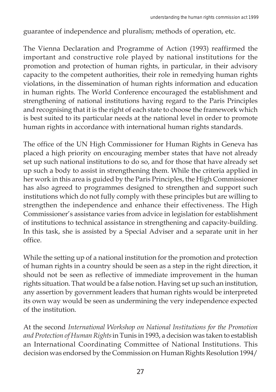guarantee of independence and pluralism; methods of operation, etc.

The Vienna Declaration and Programme of Action (1993) reaffirmed the important and constructive role played by national institutions for the promotion and protection of human rights, in particular, in their advisory capacity to the competent authorities, their role in remedying human rights violations, in the dissemination of human rights information and education in human rights. The World Conference encouraged the establishment and strengthening of national institutions having regard to the Paris Principles and recognising that it is the right of each state to choose the framework which is best suited to its particular needs at the national level in order to promote human rights in accordance with international human rights standards.

The office of the UN High Commissioner for Human Rights in Geneva has placed a high priority on encouraging member states that have not already set up such national institutions to do so, and for those that have already set up such a body to assist in strengthening them. While the criteria applied in her work in this area is guided by the Paris Principles, the High Commissioner has also agreed to programmes designed to strengthen and support such institutions which do not fully comply with these principles but are willing to strengthen the independence and enhance their effectiveness. The High Commissioner's assistance varies from advice in legislation for establishment of institutions to technical assistance in strengthening and capacity-building. In this task, she is assisted by a Special Adviser and a separate unit in her office.

While the setting up of a national institution for the promotion and protection of human rights in a country should be seen as a step in the right direction, it should not be seen as reflective of immediate improvement in the human rights situation. That would be a false notion. Having set up such an institution, any assertion by government leaders that human rights would be interpreted its own way would be seen as undermining the very independence expected of the institution.

At the second *International Workshop on National Institutions for the Promotion and Protection of Human Rights* in Tunis in 1993, a decision was taken to establish an International Coordinating Committee of National Institutions. This decision was endorsed by the Commission on Human Rights Resolution 1994/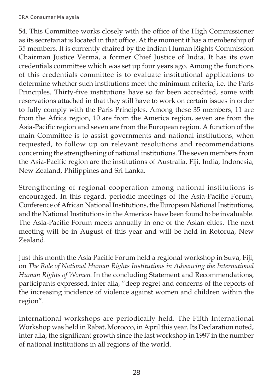54. This Committee works closely with the office of the High Commissioner as its secretariat is located in that office. At the moment it has a membership of 35 members. It is currently chaired by the Indian Human Rights Commission Chairman Justice Verma, a former Chief Justice of India. It has its own credentials committee which was set up four years ago. Among the functions of this credentials committee is to evaluate institutional applications to determine whether such institutions meet the minimum criteria, i.e. the Paris Principles. Thirty-five institutions have so far been accredited, some with reservations attached in that they still have to work on certain issues in order to fully comply with the Paris Principles. Among these 35 members, 11 are from the Africa region, 10 are from the America region, seven are from the Asia-Pacific region and seven are from the European region. A function of the main Committee is to assist governments and national institutions, when requested, to follow up on relevant resolutions and recommendations concerning the strengthening of national institutions. The seven members from the Asia-Pacific region are the institutions of Australia, Fiji, India, Indonesia, New Zealand, Philippines and Sri Lanka.

Strengthening of regional cooperation among national institutions is encouraged. In this regard, periodic meetings of the Asia-Pacific Forum, Conference of African National Institutions, the European National Institutions, and the National Institutions in the Americas have been found to be invaluable. The Asia-Pacific Forum meets annually in one of the Asian cities. The next meeting will be in August of this year and will be held in Rotorua, New Zealand.

Just this month the Asia Pacific Forum held a regional workshop in Suva, Fiji, on *The Role of National Human Rights Institutions in Advancing the International Human Rights of Women*. In the concluding Statement and Recommendations, participants expressed, inter alia, "deep regret and concerns of the reports of the increasing incidence of violence against women and children within the region".

International workshops are periodically held. The Fifth International Workshop was held in Rabat, Morocco, in April this year. Its Declaration noted, inter alia, the significant growth since the last workshop in 1997 in the number of national institutions in all regions of the world.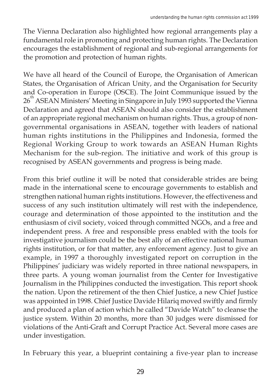The Vienna Declaration also highlighted how regional arrangements play a fundamental role in promoting and protecting human rights. The Declaration encourages the establishment of regional and sub-regional arrangements for the promotion and protection of human rights.

We have all heard of the Council of Europe, the Organisation of American States, the Organisation of African Unity, and the Organisation for Security and Co-operation in Europe (OSCE). The Joint Communique issued by the 26<sup>th</sup> ASEAN Ministers' Meeting in Singapore in July 1993 supported the Vienna Declaration and agreed that ASEAN should also consider the establishment of an appropriate regional mechanism on human rights. Thus, a group of nongovernmental organisations in ASEAN, together with leaders of national human rights institutions in the Philippines and Indonesia, formed the Regional Working Group to work towards an ASEAN Human Rights Mechanism for the sub-region. The initiative and work of this group is recognised by ASEAN governments and progress is being made.

From this brief outline it will be noted that considerable strides are being made in the international scene to encourage governments to establish and strengthen national human rights institutions. However, the effectiveness and success of any such institution ultimately will rest with the independence, courage and determination of those appointed to the institution and the enthusiasm of civil society, voiced through committed NGOs, and a free and independent press. A free and responsible press enabled with the tools for investigative journalism could be the best ally of an effective national human rights institution, or for that matter, any enforcement agency. Just to give an example, in 1997 a thoroughly investigated report on corruption in the Philippines' judiciary was widely reported in three national newspapers, in three parts. A young woman journalist from the Center for Investigative Journalism in the Philippines conducted the investigation. This report shook the nation. Upon the retirement of the then Chief Justice, a new Chief Justice was appointed in 1998. Chief Justice Davide Hilariq moved swiftly and firmly and produced a plan of action which he called "Davide Watch" to cleanse the justice system. Within 20 months, more than 30 judges were dismissed for violations of the Anti-Graft and Corrupt Practice Act. Several more cases are under investigation.

In February this year, a blueprint containing a five-year plan to increase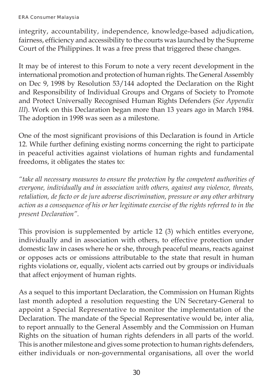#### ERA Consumer Malaysia

integrity, accountability, independence, knowledge-based adjudication, fairness, efficiency and accessibility to the courts was launched by the Supreme Court of the Philippines. It was a free press that triggered these changes.

It may be of interest to this Forum to note a very recent development in the international promotion and protection of human rights. The General Assembly on Dec 9, 1998 by Resolution 53/144 adopted the Declaration on the Right and Responsibility of Individual Groups and Organs of Society to Promote and Protect Universally Recognised Human Rights Defenders (*See Appendix III*). Work on this Declaration began more than 13 years ago in March 1984. The adoption in 1998 was seen as a milestone.

One of the most significant provisions of this Declaration is found in Article 12. While further defining existing norms concerning the right to participate in peaceful activities against violations of human rights and fundamental freedoms, it obligates the states to:

*"take all necessary measures to ensure the protection by the competent authorities of everyone, individually and in association with others, against any violence, threats, retaliation, de facto or de jure adverse discrimination, pressure or any other arbitrary action as a consequence of his or her legitimate exercise of the rights referred to in the present Declaration".*

This provision is supplemented by article 12 (3) which entitles everyone, individually and in association with others, to effective protection under domestic law in cases where he or she, through peaceful means, reacts against or opposes acts or omissions attributable to the state that result in human rights violations or, equally, violent acts carried out by groups or individuals that affect enjoyment of human rights.

As a sequel to this important Declaration, the Commission on Human Rights last month adopted a resolution requesting the UN Secretary-General to appoint a Special Representative to monitor the implementation of the Declaration. The mandate of the Special Representative would be, inter alia, to report annually to the General Assembly and the Commission on Human Rights on the situation of human rights defenders in all parts of the world. This is another milestone and gives some protection to human rights defenders, either individuals or non-governmental organisations, all over the world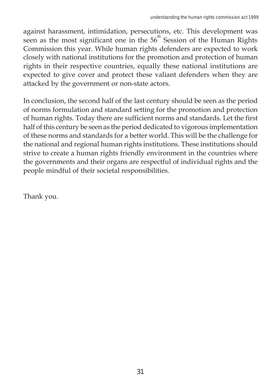against harassment, intimidation, persecutions, etc. This development was seen as the most significant one in the  $56<sup>th</sup>$  Session of the Human Rights Commission this year. While human rights defenders are expected to work closely with national institutions for the promotion and protection of human rights in their respective countries, equally these national institutions are expected to give cover and protect these valiant defenders when they are attacked by the government or non-state actors.

In conclusion, the second half of the last century should be seen as the period of norms formulation and standard setting for the promotion and protection of human rights. Today there are sufficient norms and standards. Let the first half of this century be seen as the period dedicated to vigorous implementation of these norms and standards for a better world. This will be the challenge for the national and regional human rights institutions. These institutions should strive to create a human rights friendly environment in the countries where the governments and their organs are respectful of individual rights and the people mindful of their societal responsibilities.

Thank you.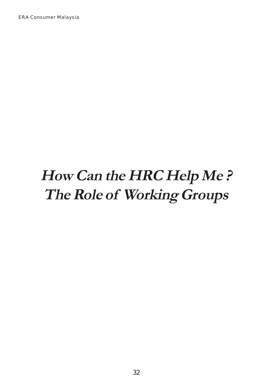ERA Consumer Malaysia

# **How Can the HRC Help Me ? The Role of Working Groups**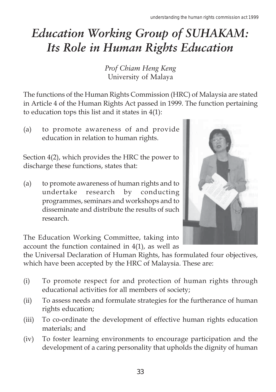# *Education Working Group of SUHAKAM: Its Role in Human Rights Education*

*Prof Chiam Heng Keng* University of Malaya

The functions of the Human Rights Commission (HRC) of Malaysia are stated in Article 4 of the Human Rights Act passed in 1999. The function pertaining to education tops this list and it states in 4(1):

(a) to promote awareness of and provide education in relation to human rights.

Section 4(2), which provides the HRC the power to discharge these functions, states that:

(a) to promote awareness of human rights and to undertake research by conducting programmes, seminars and workshops and to disseminate and distribute the results of such research.



The Education Working Committee, taking into account the function contained in 4(1), as well as

the Universal Declaration of Human Rights, has formulated four objectives, which have been accepted by the HRC of Malaysia. These are:

- (i) To promote respect for and protection of human rights through educational activities for all members of society;
- (ii) To assess needs and formulate strategies for the furtherance of human rights education;
- (iii) To co-ordinate the development of effective human rights education materials; and
- (iv) To foster learning environments to encourage participation and the development of a caring personality that upholds the dignity of human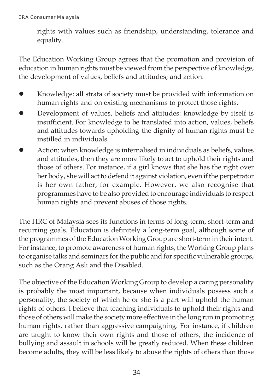rights with values such as friendship, understanding, tolerance and equality.

The Education Working Group agrees that the promotion and provision of education in human rights must be viewed from the perspective of knowledge, the development of values, beliefs and attitudes; and action.

- Knowledge: all strata of society must be provided with information on human rights and on existing mechanisms to protect those rights.
- Development of values, beliefs and attitudes: knowledge by itself is insufficient. For knowledge to be translated into action, values, beliefs and attitudes towards upholding the dignity of human rights must be instilled in individuals.
- Action: when knowledge is internalised in individuals as beliefs, values and attitudes, then they are more likely to act to uphold their rights and those of others. For instance, if a girl knows that she has the right over her body, she will act to defend it against violation, even if the perpetrator is her own father, for example. However, we also recognise that programmes have to be also provided to encourage individuals to respect human rights and prevent abuses of those rights.

The HRC of Malaysia sees its functions in terms of long-term, short-term and recurring goals. Education is definitely a long-term goal, although some of the programmes of the Education Working Group are short-term in their intent. For instance, to promote awareness of human rights, the Working Group plans to organise talks and seminars for the public and for specific vulnerable groups, such as the Orang Asli and the Disabled.

The objective of the Education Working Group to develop a caring personality is probably the most important, because when individuals possess such a personality, the society of which he or she is a part will uphold the human rights of others. I believe that teaching individuals to uphold their rights and those of others will make the society more effective in the long run in promoting human rights, rather than aggressive campaigning. For instance, if children are taught to know their own rights and those of others, the incidence of bullying and assault in schools will be greatly reduced. When these children become adults, they will be less likely to abuse the rights of others than those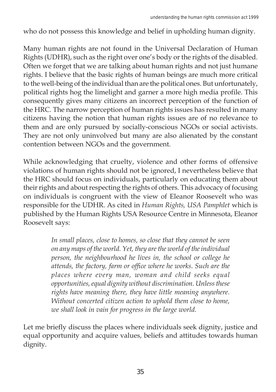who do not possess this knowledge and belief in upholding human dignity.

Many human rights are not found in the Universal Declaration of Human Rights (UDHR), such as the right over one's body or the rights of the disabled. Often we forget that we are talking about human rights and not just humane rights. I believe that the basic rights of human beings are much more critical to the well-being of the individual than are the political ones. But unfortunately, political rights hog the limelight and garner a more high media profile. This consequently gives many citizens an incorrect perception of the function of the HRC. The narrow perception of human rights issues has resulted in many citizens having the notion that human rights issues are of no relevance to them and are only pursued by socially-conscious NGOs or social activists. They are not only uninvolved but many are also alienated by the constant contention between NGOs and the government.

While acknowledging that cruelty, violence and other forms of offensive violations of human rights should not be ignored, I nevertheless believe that the HRC should focus on individuals, particularly on educating them about their rights and about respecting the rights of others. This advocacy of focusing on individuals is congruent with the view of Eleanor Roosevelt who was responsible for the UDHR. As cited in *Human Rights, USA Pamphlet* which is published by the Human Rights USA Resource Centre in Minnesota, Eleanor Roosevelt says:

> *In small places, close to homes, so close that they cannot be seen on any maps of the world. Yet, they are the world of the individual person, the neighbourhood he lives in, the school or college he attends, the factory, farm or office where he works. Such are the places where every man, woman and child seeks equal opportunities, equal dignity without discrimination. Unless these rights have meaning there, they have little meaning anywhere. Without concerted citizen action to uphold them close to home, we shall look in vain for progress in the large world.*

Let me briefly discuss the places where individuals seek dignity, justice and equal opportunity and acquire values, beliefs and attitudes towards human dignity.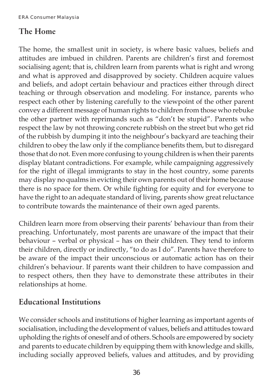## **The Home**

The home, the smallest unit in society, is where basic values, beliefs and attitudes are imbued in children. Parents are children's first and foremost socialising agent; that is, children learn from parents what is right and wrong and what is approved and disapproved by society. Children acquire values and beliefs, and adopt certain behaviour and practices either through direct teaching or through observation and modeling. For instance, parents who respect each other by listening carefully to the viewpoint of the other parent convey a different message of human rights to children from those who rebuke the other partner with reprimands such as "don't be stupid". Parents who respect the law by not throwing concrete rubbish on the street but who get rid of the rubbish by dumping it into the neighbour's backyard are teaching their children to obey the law only if the compliance benefits them, but to disregard those that do not. Even more confusing to young children is when their parents display blatant contradictions. For example, while campaigning aggressively for the right of illegal immigrants to stay in the host country, some parents may display no qualms in evicting their own parents out of their home because there is no space for them. Or while fighting for equity and for everyone to have the right to an adequate standard of living, parents show great reluctance to contribute towards the maintenance of their own aged parents.

Children learn more from observing their parents' behaviour than from their preaching. Unfortunately, most parents are unaware of the impact that their behaviour – verbal or physical – has on their children. They tend to inform their children, directly or indirectly, "to do as I do". Parents have therefore to be aware of the impact their unconscious or automatic action has on their children's behaviour. If parents want their children to have compassion and to respect others, then they have to demonstrate these attributes in their relationships at home.

## **Educational Institutions**

We consider schools and institutions of higher learning as important agents of socialisation, including the development of values, beliefs and attitudes toward upholding the rights of oneself and of others. Schools are empowered by society and parents to educate children by equipping them with knowledge and skills, including socially approved beliefs, values and attitudes, and by providing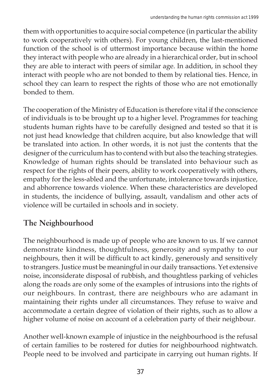them with opportunities to acquire social competence (in particular the ability to work cooperatively with others). For young children, the last-mentioned function of the school is of uttermost importance because within the home they interact with people who are already in a hierarchical order, but in school they are able to interact with peers of similar age. In addition, in school they interact with people who are not bonded to them by relational ties. Hence, in school they can learn to respect the rights of those who are not emotionally bonded to them.

The cooperation of the Ministry of Education is therefore vital if the conscience of individuals is to be brought up to a higher level. Programmes for teaching students human rights have to be carefully designed and tested so that it is not just head knowledge that children acquire, but also knowledge that will be translated into action. In other words, it is not just the contents that the designer of the curriculum has to contend with but also the teaching strategies. Knowledge of human rights should be translated into behaviour such as respect for the rights of their peers, ability to work cooperatively with others, empathy for the less-abled and the unfortunate, intolerance towards injustice, and abhorrence towards violence. When these characteristics are developed in students, the incidence of bullying, assault, vandalism and other acts of violence will be curtailed in schools and in society.

## **The Neighbourhood**

The neighbourhood is made up of people who are known to us. If we cannot demonstrate kindness, thoughtfulness, generosity and sympathy to our neighbours, then it will be difficult to act kindly, generously and sensitively to strangers. Justice must be meaningful in our daily transactions. Yet extensive noise, inconsiderate disposal of rubbish, and thoughtless parking of vehicles along the roads are only some of the examples of intrusions into the rights of our neighbours. In contrast, there are neighbours who are adamant in maintaining their rights under all circumstances. They refuse to waive and accommodate a certain degree of violation of their rights, such as to allow a higher volume of noise on account of a celebration party of their neighbour.

Another well-known example of injustice in the neighbourhood is the refusal of certain families to be rostered for duties for neighbourhood nightwatch. People need to be involved and participate in carrying out human rights. If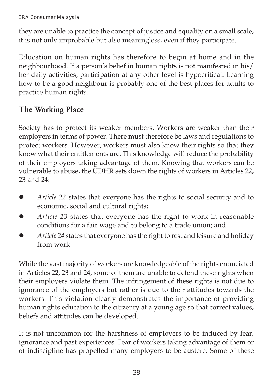they are unable to practice the concept of justice and equality on a small scale, it is not only improbable but also meaningless, even if they participate.

Education on human rights has therefore to begin at home and in the neighbourhood. If a person's belief in human rights is not manifested in his/ her daily activities, participation at any other level is hypocritical. Learning how to be a good neighbour is probably one of the best places for adults to practice human rights.

## **The Working Place**

Society has to protect its weaker members. Workers are weaker than their employers in terms of power. There must therefore be laws and regulations to protect workers. However, workers must also know their rights so that they know what their entitlements are. This knowledge will reduce the probability of their employers taking advantage of them. Knowing that workers can be vulnerable to abuse, the UDHR sets down the rights of workers in Articles 22, 23 and 24:

- *Article 22* states that everyone has the rights to social security and to economic, social and cultural rights;
- Article 23 states that everyone has the right to work in reasonable conditions for a fair wage and to belong to a trade union; and
- z *Article 24* states that everyone has the right to rest and leisure and holiday from work.

While the vast majority of workers are knowledgeable of the rights enunciated in Articles 22, 23 and 24, some of them are unable to defend these rights when their employers violate them. The infringement of these rights is not due to ignorance of the employers but rather is due to their attitudes towards the workers. This violation clearly demonstrates the importance of providing human rights education to the citizenry at a young age so that correct values, beliefs and attitudes can be developed.

It is not uncommon for the harshness of employers to be induced by fear, ignorance and past experiences. Fear of workers taking advantage of them or of indiscipline has propelled many employers to be austere. Some of these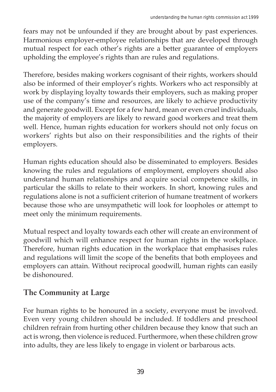fears may not be unfounded if they are brought about by past experiences. Harmonious employer-employee relationships that are developed through mutual respect for each other's rights are a better guarantee of employers upholding the employee's rights than are rules and regulations.

Therefore, besides making workers cognisant of their rights, workers should also be informed of their employer's rights. Workers who act responsibly at work by displaying loyalty towards their employers, such as making proper use of the company's time and resources, are likely to achieve productivity and generate goodwill. Except for a few hard, mean or even cruel individuals, the majority of employers are likely to reward good workers and treat them well. Hence, human rights education for workers should not only focus on workers' rights but also on their responsibilities and the rights of their employers.

Human rights education should also be disseminated to employers. Besides knowing the rules and regulations of employment, employers should also understand human relationships and acquire social competence skills, in particular the skills to relate to their workers. In short, knowing rules and regulations alone is not a sufficient criterion of humane treatment of workers because those who are unsympathetic will look for loopholes or attempt to meet only the minimum requirements.

Mutual respect and loyalty towards each other will create an environment of goodwill which will enhance respect for human rights in the workplace. Therefore, human rights education in the workplace that emphasises rules and regulations will limit the scope of the benefits that both employees and employers can attain. Without reciprocal goodwill, human rights can easily be dishonoured.

## **The Community at Large**

For human rights to be honoured in a society, everyone must be involved. Even very young children should be included. If toddlers and preschool children refrain from hurting other children because they know that such an act is wrong, then violence is reduced. Furthermore, when these children grow into adults, they are less likely to engage in violent or barbarous acts.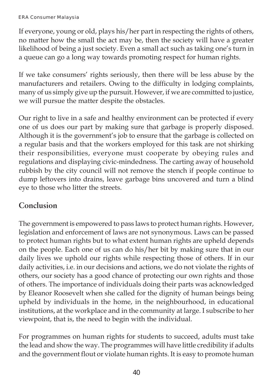#### ERA Consumer Malaysia

If everyone, young or old, plays his/her part in respecting the rights of others, no matter how the small the act may be, then the society will have a greater likelihood of being a just society. Even a small act such as taking one's turn in a queue can go a long way towards promoting respect for human rights.

If we take consumers' rights seriously, then there will be less abuse by the manufacturers and retailers. Owing to the difficulty in lodging complaints, many of us simply give up the pursuit. However, if we are committed to justice, we will pursue the matter despite the obstacles.

Our right to live in a safe and healthy environment can be protected if every one of us does our part by making sure that garbage is properly disposed. Although it is the government's job to ensure that the garbage is collected on a regular basis and that the workers employed for this task are not shirking their responsibilities, everyone must cooperate by obeying rules and regulations and displaying civic-mindedness. The carting away of household rubbish by the city council will not remove the stench if people continue to dump leftovers into drains, leave garbage bins uncovered and turn a blind eye to those who litter the streets.

### **Conclusion**

The government is empowered to pass laws to protect human rights. However, legislation and enforcement of laws are not synonymous. Laws can be passed to protect human rights but to what extent human rights are upheld depends on the people. Each one of us can do his/her bit by making sure that in our daily lives we uphold our rights while respecting those of others. If in our daily activities, i.e. in our decisions and actions, we do not violate the rights of others, our society has a good chance of protecting our own rights and those of others. The importance of individuals doing their parts was acknowledged by Eleanor Roosevelt when she called for the dignity of human beings being upheld by individuals in the home, in the neighbourhood, in educational institutions, at the workplace and in the community at large. I subscribe to her viewpoint, that is, the need to begin with the individual.

For programmes on human rights for students to succeed, adults must take the lead and show the way. The programmes will have little credibility if adults and the government flout or violate human rights. It is easy to promote human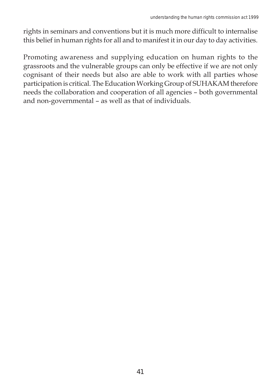rights in seminars and conventions but it is much more difficult to internalise this belief in human rights for all and to manifest it in our day to day activities.

Promoting awareness and supplying education on human rights to the grassroots and the vulnerable groups can only be effective if we are not only cognisant of their needs but also are able to work with all parties whose participation is critical. The Education Working Group of SUHAKAM therefore needs the collaboration and cooperation of all agencies – both governmental and non-governmental – as well as that of individuals.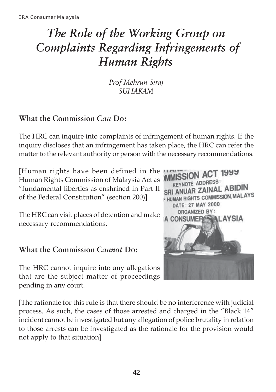## *The Role of the Working Group on Complaints Regarding Infringements of Human Rights*

*Prof Mehrun Siraj SUHAKAM*

## **What the Commission** *Can* **Do:**

The HRC can inquire into complaints of infringement of human rights. If the inquiry discloses that an infringement has taken place, the HRC can refer the matter to the relevant authority or person with the necessary recommendations.

[Human rights have been defined in the Human Rights Commission of Malaysia Act as "fundamental liberties as enshrined in Part II of the Federal Constitution" (section 200)]

The HRC can visit places of detention and make necessary recommendations.

### **What the Commission** *Cannot* **Do:**

The HRC cannot inquire into any allegations that are the subject matter of proceedings pending in any court.



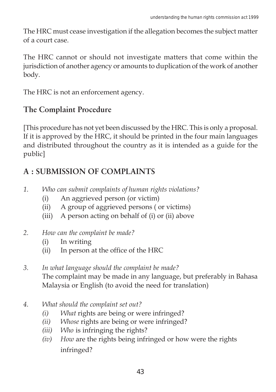The HRC must cease investigation if the allegation becomes the subject matter of a court case.

The HRC cannot or should not investigate matters that come within the jurisdiction of another agency or amounts to duplication of the work of another body.

The HRC is not an enforcement agency.

## **The Complaint Procedure**

[This procedure has not yet been discussed by the HRC. This is only a proposal. If it is approved by the HRC, it should be printed in the four main languages and distributed throughout the country as it is intended as a guide for the public]

## **A : SUBMISSION OF COMPLAINTS**

- *1. Who can submit complaints of human rights violations?*
	- (i) An aggrieved person (or victim)
	- (ii) A group of aggrieved persons ( or victims)
	- (iii) A person acting on behalf of (i) or (ii) above
- *2. How can the complaint be made?*
	- (i) In writing
	- (ii) In person at the office of the HRC
- *3. In what language should the complaint be made?* The complaint may be made in any language, but preferably in Bahasa Malaysia or English (to avoid the need for translation)
- *4. What should the complaint set out?*
	- *(i) What* rights are being or were infringed?
	- *(ii) Whose* rights are being or were infringed?
	- *(iii) Who* is infringing the rights?
	- *(iv) How* are the rights being infringed or how were the rights infringed?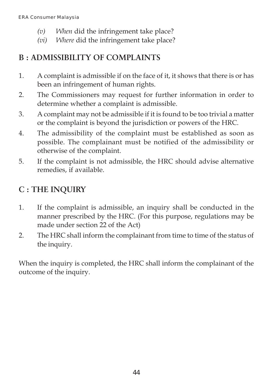- *(v) When* did the infringement take place?
- *(vi) Where* did the infringement take place?

## **B : ADMISSIBILITY OF COMPLAINTS**

- 1. A complaint is admissible if on the face of it, it shows that there is or has been an infringement of human rights.
- 2. The Commissioners may request for further information in order to determine whether a complaint is admissible.
- 3. A complaint may not be admissible if it is found to be too trivial a matter or the complaint is beyond the jurisdiction or powers of the HRC.
- 4. The admissibility of the complaint must be established as soon as possible. The complainant must be notified of the admissibility or otherwise of the complaint.
- 5. If the complaint is not admissible, the HRC should advise alternative remedies, if available.

## **C : THE INQUIRY**

- 1. If the complaint is admissible, an inquiry shall be conducted in the manner prescribed by the HRC. (For this purpose, regulations may be made under section 22 of the Act)
- 2. The HRC shall inform the complainant from time to time of the status of the inquiry.

When the inquiry is completed, the HRC shall inform the complainant of the outcome of the inquiry.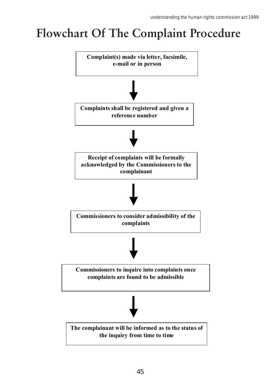# **Flowchart Of The Complaint Procedure**

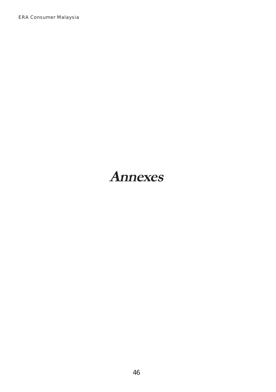ERA Consumer Malaysia

## **Annexes**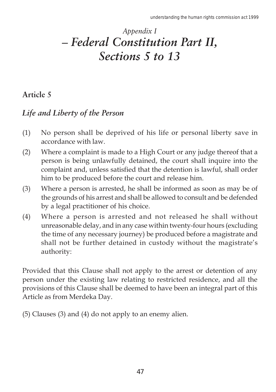## *Appendix I – Federal Constitution Part II, Sections 5 to 13*

### **Article 5**

## *Life and Liberty of the Person*

- (1) No person shall be deprived of his life or personal liberty save in accordance with law.
- (2) Where a complaint is made to a High Court or any judge thereof that a person is being unlawfully detained, the court shall inquire into the complaint and, unless satisfied that the detention is lawful, shall order him to be produced before the court and release him.
- (3) Where a person is arrested, he shall be informed as soon as may be of the grounds of his arrest and shall be allowed to consult and be defended by a legal practitioner of his choice.
- (4) Where a person is arrested and not released he shall without unreasonable delay, and in any case within twenty-four hours (excluding the time of any necessary journey) be produced before a magistrate and shall not be further detained in custody without the magistrate's authority:

Provided that this Clause shall not apply to the arrest or detention of any person under the existing law relating to restricted residence, and all the provisions of this Clause shall be deemed to have been an integral part of this Article as from Merdeka Day.

(5) Clauses (3) and (4) do not apply to an enemy alien.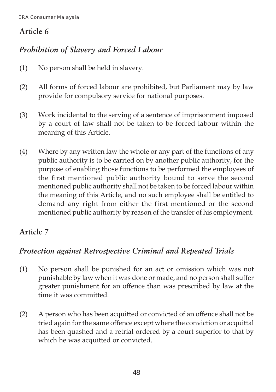## *Prohibition of Slavery and Forced Labour*

- (1) No person shall be held in slavery.
- (2) All forms of forced labour are prohibited, but Parliament may by law provide for compulsory service for national purposes.
- (3) Work incidental to the serving of a sentence of imprisonment imposed by a court of law shall not be taken to be forced labour within the meaning of this Article.
- (4) Where by any written law the whole or any part of the functions of any public authority is to be carried on by another public authority, for the purpose of enabling those functions to be performed the employees of the first mentioned public authority bound to serve the second mentioned public authority shall not be taken to be forced labour within the meaning of this Article, and no such employee shall be entitled to demand any right from either the first mentioned or the second mentioned public authority by reason of the transfer of his employment.

## **Article 7**

## *Protection against Retrospective Criminal and Repeated Trials*

- (1) No person shall be punished for an act or omission which was not punishable by law when it was done or made, and no person shall suffer greater punishment for an offence than was prescribed by law at the time it was committed.
- (2) A person who has been acquitted or convicted of an offence shall not be tried again for the same offence except where the conviction or acquittal has been quashed and a retrial ordered by a court superior to that by which he was acquitted or convicted.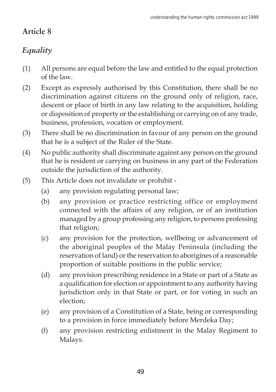## *Equality*

- (1) All persons are equal before the law and entitled to the equal protection of the law.
- (2) Except as expressly authorised by this Constitution, there shall be no discrimination against citizens on the ground only of religion, race, descent or place of birth in any law relating to the acquisition, holding or disposition of property or the establishing or carrying on of any trade, business, profession, vocation or employment.
- (3) There shall be no discrimination in favour of any person on the ground that he is a subject of the Ruler of the State.
- (4) No public authority shall discriminate against any person on the ground that he is resident or carrying on business in any part of the Federation outside the jurisdiction of the authority.
- (5) This Article does not invalidate or prohibit
	- (a) any provision regulating personal law;
	- (b) any provision or practice restricting office or employment connected with the affairs of any religion, or of an institution managed by a group professing any religion, to persons professing that religion;
	- (c) any provision for the protection, wellbeing or advancement of the aboriginal peoples of the Malay Peninsula (including the reservation of land) or the reservation to aborigines of a reasonable proportion of suitable positions in the public service;
	- (d) any provision prescribing residence in a State or part of a State as a qualification for election or appointment to any authority having jurisdiction only in that State or part, or for voting in such an election;
	- (e) any provision of a Constitution of a State, being or corresponding to a provision in force immediately before Merdeka Day;
	- (f) any provision restricting enlistment in the Malay Regiment to Malays.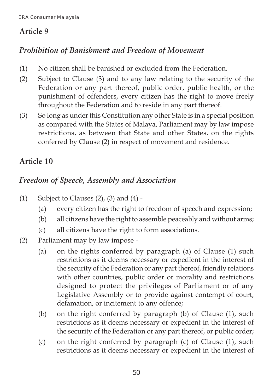## *Prohibition of Banishment and Freedom of Movement*

- (1) No citizen shall be banished or excluded from the Federation.
- (2) Subject to Clause (3) and to any law relating to the security of the Federation or any part thereof, public order, public health, or the punishment of offenders, every citizen has the right to move freely throughout the Federation and to reside in any part thereof.
- (3) So long as under this Constitution any other State is in a special position as compared with the States of Malaya, Parliament may by law impose restrictions, as between that State and other States, on the rights conferred by Clause (2) in respect of movement and residence.

## **Article 10**

## *Freedom of Speech, Assembly and Association*

- (1) Subject to Clauses  $(2)$ ,  $(3)$  and  $(4)$  -
	- (a) every citizen has the right to freedom of speech and expression;
	- (b) all citizens have the right to assemble peaceably and without arms;
	- (c) all citizens have the right to form associations.
- (2) Parliament may by law impose
	- (a) on the rights conferred by paragraph (a) of Clause (1) such restrictions as it deems necessary or expedient in the interest of the security of the Federation or any part thereof, friendly relations with other countries, public order or morality and restrictions designed to protect the privileges of Parliament or of any Legislative Assembly or to provide against contempt of court, defamation, or incitement to any offence;
	- (b) on the right conferred by paragraph (b) of Clause (1), such restrictions as it deems necessary or expedient in the interest of the security of the Federation or any part thereof, or public order;
	- (c) on the right conferred by paragraph (c) of Clause (1), such restrictions as it deems necessary or expedient in the interest of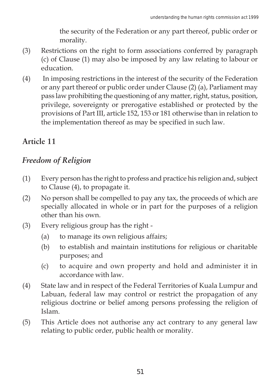the security of the Federation or any part thereof, public order or morality.

- (3) Restrictions on the right to form associations conferred by paragraph (c) of Clause (1) may also be imposed by any law relating to labour or education.
- (4) In imposing restrictions in the interest of the security of the Federation or any part thereof or public order under Clause (2) (a), Parliament may pass law prohibiting the questioning of any matter, right, status, position, privilege, sovereignty or prerogative established or protected by the provisions of Part III, article 152, 153 or 181 otherwise than in relation to the implementation thereof as may be specified in such law.

## **Article 11**

## *Freedom of Religion*

- (1) Every person has the right to profess and practice his religion and, subject to Clause (4), to propagate it.
- (2) No person shall be compelled to pay any tax, the proceeds of which are specially allocated in whole or in part for the purposes of a religion other than his own.
- (3) Every religious group has the right
	- (a) to manage its own religious affairs;
	- (b) to establish and maintain institutions for religious or charitable purposes; and
	- (c) to acquire and own property and hold and administer it in accordance with law.
- (4) State law and in respect of the Federal Territories of Kuala Lumpur and Labuan, federal law may control or restrict the propagation of any religious doctrine or belief among persons professing the religion of Islam.
- (5) This Article does not authorise any act contrary to any general law relating to public order, public health or morality.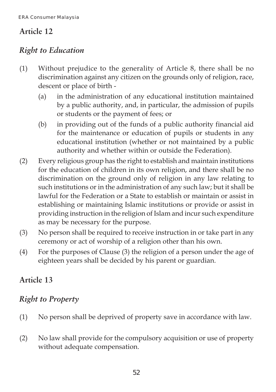## *Right to Education*

- (1) Without prejudice to the generality of Article 8, there shall be no discrimination against any citizen on the grounds only of religion, race, descent or place of birth -
	- (a) in the administration of any educational institution maintained by a public authority, and, in particular, the admission of pupils or students or the payment of fees; or
	- (b) in providing out of the funds of a public authority financial aid for the maintenance or education of pupils or students in any educational institution (whether or not maintained by a public authority and whether within or outside the Federation).
- (2) Every religious group has the right to establish and maintain institutions for the education of children in its own religion, and there shall be no discrimination on the ground only of religion in any law relating to such institutions or in the administration of any such law; but it shall be lawful for the Federation or a State to establish or maintain or assist in establishing or maintaining Islamic institutions or provide or assist in providing instruction in the religion of Islam and incur such expenditure as may be necessary for the purpose.
- (3) No person shall be required to receive instruction in or take part in any ceremony or act of worship of a religion other than his own.
- (4) For the purposes of Clause (3) the religion of a person under the age of eighteen years shall be decided by his parent or guardian.

## **Article 13**

## *Right to Property*

- (1) No person shall be deprived of property save in accordance with law.
- (2) No law shall provide for the compulsory acquisition or use of property without adequate compensation.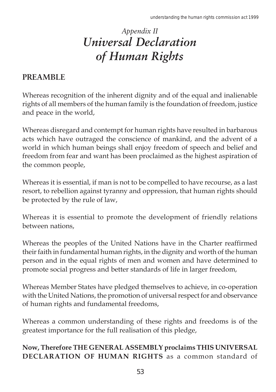## *Appendix II Universal Declaration of Human Rights*

## **PREAMBLE**

Whereas recognition of the inherent dignity and of the equal and inalienable rights of all members of the human family is the foundation of freedom, justice and peace in the world,

Whereas disregard and contempt for human rights have resulted in barbarous acts which have outraged the conscience of mankind, and the advent of a world in which human beings shall enjoy freedom of speech and belief and freedom from fear and want has been proclaimed as the highest aspiration of the common people,

Whereas it is essential, if man is not to be compelled to have recourse, as a last resort, to rebellion against tyranny and oppression, that human rights should be protected by the rule of law,

Whereas it is essential to promote the development of friendly relations between nations,

Whereas the peoples of the United Nations have in the Charter reaffirmed their faith in fundamental human rights, in the dignity and worth of the human person and in the equal rights of men and women and have determined to promote social progress and better standards of life in larger freedom,

Whereas Member States have pledged themselves to achieve, in co-operation with the United Nations, the promotion of universal respect for and observance of human rights and fundamental freedoms,

Whereas a common understanding of these rights and freedoms is of the greatest importance for the full realisation of this pledge,

### **Now, Therefore THE GENERAL ASSEMBLY proclaims THIS UNIVERSAL DECLARATION OF HUMAN RIGHTS** as a common standard of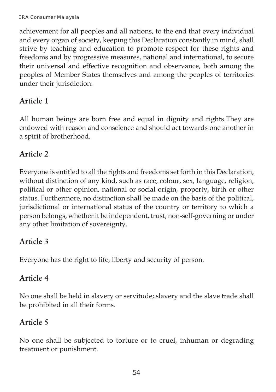achievement for all peoples and all nations, to the end that every individual and every organ of society, keeping this Declaration constantly in mind, shall strive by teaching and education to promote respect for these rights and freedoms and by progressive measures, national and international, to secure their universal and effective recognition and observance, both among the peoples of Member States themselves and among the peoples of territories under their jurisdiction.

## **Article 1**

All human beings are born free and equal in dignity and rights.They are endowed with reason and conscience and should act towards one another in a spirit of brotherhood.

## **Article 2**

Everyone is entitled to all the rights and freedoms set forth in this Declaration, without distinction of any kind, such as race, colour, sex, language, religion, political or other opinion, national or social origin, property, birth or other status. Furthermore, no distinction shall be made on the basis of the political, jurisdictional or international status of the country or territory to which a person belongs, whether it be independent, trust, non-self-governing or under any other limitation of sovereignty.

## **Article 3**

Everyone has the right to life, liberty and security of person.

## **Article 4**

No one shall be held in slavery or servitude; slavery and the slave trade shall be prohibited in all their forms.

## **Article 5**

No one shall be subjected to torture or to cruel, inhuman or degrading treatment or punishment.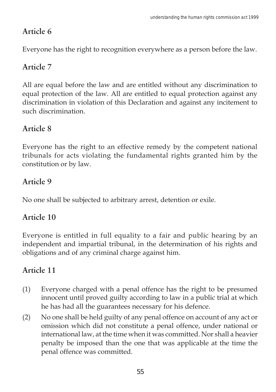Everyone has the right to recognition everywhere as a person before the law.

## **Article 7**

All are equal before the law and are entitled without any discrimination to equal protection of the law. All are entitled to equal protection against any discrimination in violation of this Declaration and against any incitement to such discrimination.

## **Article 8**

Everyone has the right to an effective remedy by the competent national tribunals for acts violating the fundamental rights granted him by the constitution or by law.

## **Article 9**

No one shall be subjected to arbitrary arrest, detention or exile.

## **Article 10**

Everyone is entitled in full equality to a fair and public hearing by an independent and impartial tribunal, in the determination of his rights and obligations and of any criminal charge against him.

- (1) Everyone charged with a penal offence has the right to be presumed innocent until proved guilty according to law in a public trial at which he has had all the guarantees necessary for his defence.
- (2) No one shall be held guilty of any penal offence on account of any act or omission which did not constitute a penal offence, under national or international law, at the time when it was committed. Nor shall a heavier penalty be imposed than the one that was applicable at the time the penal offence was committed.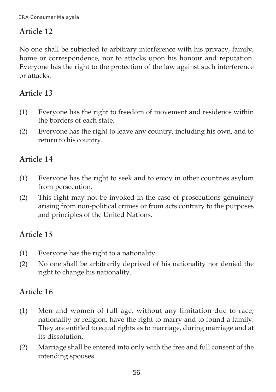No one shall be subjected to arbitrary interference with his privacy, family, home or correspondence, nor to attacks upon his honour and reputation. Everyone has the right to the protection of the law against such interference or attacks.

## **Article 13**

- (1) Everyone has the right to freedom of movement and residence within the borders of each state.
- (2) Everyone has the right to leave any country, including his own, and to return to his country.

## **Article 14**

- (1) Everyone has the right to seek and to enjoy in other countries asylum from persecution.
- (2) This right may not be invoked in the case of prosecutions genuinely arising from non-political crimes or from acts contrary to the purposes and principles of the United Nations.

## **Article 15**

- (1) Everyone has the right to a nationality.
- (2) No one shall be arbitrarily deprived of his nationality nor denied the right to change his nationality.

- (1) Men and women of full age, without any limitation due to race, nationality or religion, have the right to marry and to found a family. They are entitled to equal rights as to marriage, during marriage and at its dissolution.
- (2) Marriage shall be entered into only with the free and full consent of the intending spouses.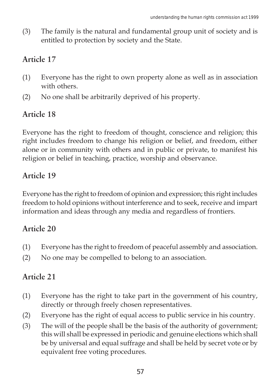(3) The family is the natural and fundamental group unit of society and is entitled to protection by society and the State.

## **Article 17**

- (1) Everyone has the right to own property alone as well as in association with others.
- (2) No one shall be arbitrarily deprived of his property.

## **Article 18**

Everyone has the right to freedom of thought, conscience and religion; this right includes freedom to change his religion or belief, and freedom, either alone or in community with others and in public or private, to manifest his religion or belief in teaching, practice, worship and observance.

## **Article 19**

Everyone has the right to freedom of opinion and expression; this right includes freedom to hold opinions without interference and to seek, receive and impart information and ideas through any media and regardless of frontiers.

## **Article 20**

- (1) Everyone has the right to freedom of peaceful assembly and association.
- (2) No one may be compelled to belong to an association.

- (1) Everyone has the right to take part in the government of his country, directly or through freely chosen representatives.
- (2) Everyone has the right of equal access to public service in his country.
- (3) The will of the people shall be the basis of the authority of government; this will shall be expressed in periodic and genuine elections which shall be by universal and equal suffrage and shall be held by secret vote or by equivalent free voting procedures.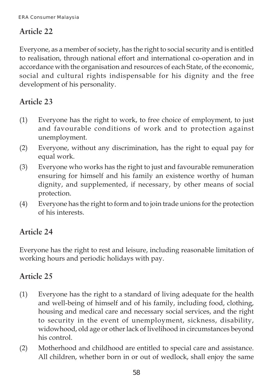Everyone, as a member of society, has the right to social security and is entitled to realisation, through national effort and international co-operation and in accordance with the organisation and resources of each State, of the economic, social and cultural rights indispensable for his dignity and the free development of his personality.

## **Article 23**

- (1) Everyone has the right to work, to free choice of employment, to just and favourable conditions of work and to protection against unemployment.
- (2) Everyone, without any discrimination, has the right to equal pay for equal work.
- (3) Everyone who works has the right to just and favourable remuneration ensuring for himself and his family an existence worthy of human dignity, and supplemented, if necessary, by other means of social protection.
- (4) Everyone has the right to form and to join trade unions for the protection of his interests.

## **Article 24**

Everyone has the right to rest and leisure, including reasonable limitation of working hours and periodic holidays with pay.

- (1) Everyone has the right to a standard of living adequate for the health and well-being of himself and of his family, including food, clothing, housing and medical care and necessary social services, and the right to security in the event of unemployment, sickness, disability, widowhood, old age or other lack of livelihood in circumstances beyond his control.
- (2) Motherhood and childhood are entitled to special care and assistance. All children, whether born in or out of wedlock, shall enjoy the same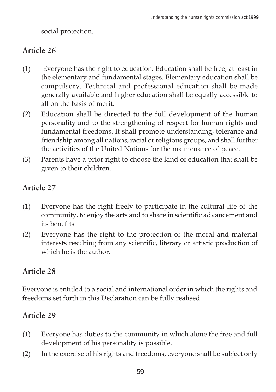social protection.

## **Article 26**

- (1) Everyone has the right to education. Education shall be free, at least in the elementary and fundamental stages. Elementary education shall be compulsory. Technical and professional education shall be made generally available and higher education shall be equally accessible to all on the basis of merit.
- (2) Education shall be directed to the full development of the human personality and to the strengthening of respect for human rights and fundamental freedoms. It shall promote understanding, tolerance and friendship among all nations, racial or religious groups, and shall further the activities of the United Nations for the maintenance of peace.
- (3) Parents have a prior right to choose the kind of education that shall be given to their children.

## **Article 27**

- (1) Everyone has the right freely to participate in the cultural life of the community, to enjoy the arts and to share in scientific advancement and its benefits.
- (2) Everyone has the right to the protection of the moral and material interests resulting from any scientific, literary or artistic production of which he is the author.

## **Article 28**

Everyone is entitled to a social and international order in which the rights and freedoms set forth in this Declaration can be fully realised.

- (1) Everyone has duties to the community in which alone the free and full development of his personality is possible.
- (2) In the exercise of his rights and freedoms, everyone shall be subject only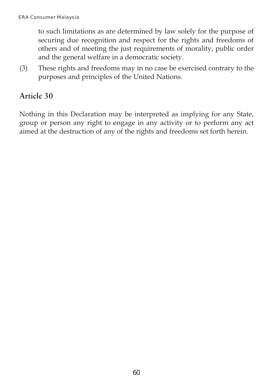to such limitations as are determined by law solely for the purpose of securing due recognition and respect for the rights and freedoms of others and of meeting the just requirements of morality, public order and the general welfare in a democratic society.

(3) These rights and freedoms may in no case be exercised contrary to the purposes and principles of the United Nations.

### **Article 30**

Nothing in this Declaration may be interpreted as implying for any State, group or person any right to engage in any activity or to perform any act aimed at the destruction of any of the rights and freedoms set forth herein.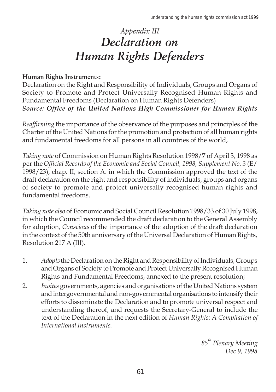## *Appendix III Declaration on Human Rights Defenders*

#### **Human Rights Instruments:**

Declaration on the Right and Responsibility of Individuals, Groups and Organs of Society to Promote and Protect Universally Recognised Human Rights and Fundamental Freedoms (Declaration on Human Rights Defenders) *Source: Office of the United Nations High Commissioner for Human Rights*

*Reaffirming* the importance of the observance of the purposes and principles of the Charter of the United Nations for the promotion and protection of all human rights and fundamental freedoms for all persons in all countries of the world,

*Taking note* of Commission on Human Rights Resolution 1998/7 of April 3, 1998 as per the *Official Records of the Economic and Social Council, 1998, Supplement No. 3* (E/ 1998/23), chap. II, section A. in which the Commission approved the text of the draft declaration on the right and responsibility of individuals, groups and organs of society to promote and protect universally recognised human rights and fundamental freedoms.

*Taking note also* of Economic and Social Council Resolution 1998/33 of 30 July 1998, in which the Council recommended the draft declaration to the General Assembly for adoption, *Conscious* of the importance of the adoption of the draft declaration in the context of the 50th anniversary of the Universal Declaration of Human Rights, Resolution 217 A (III).

- 1. *Adopts* the Declaration on the Right and Responsibility of Individuals, Groups and Organs of Society to Promote and Protect Universally Recognised Human Rights and Fundamental Freedoms, annexed to the present resolution;
- 2. *Invites* governments, agencies and organisations of the United Nations system and intergovernmental and non-governmental organisations to intensify their efforts to disseminate the Declaration and to promote universal respect and understanding thereof, and requests the Secretary-General to include the text of the Declaration in the next edition of *Human Rights: A Compilation of International Instruments*.

85<sup>th</sup> Plenary Meeting *Dec 9, 1998*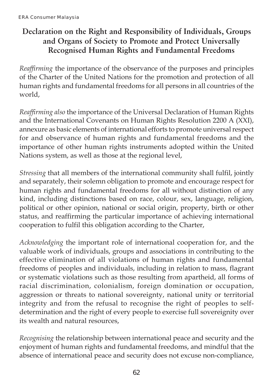## **Declaration on the Right and Responsibility of Individuals, Groups and Organs of Society to Promote and Protect Universally Recognised Human Rights and Fundamental Freedoms**

*Reaffirming* the importance of the observance of the purposes and principles of the Charter of the United Nations for the promotion and protection of all human rights and fundamental freedoms for all persons in all countries of the world,

*Reaffirming also* the importance of the Universal Declaration of Human Rights and the International Covenants on Human Rights Resolution 2200 A (XXI), annexure as basic elements of international efforts to promote universal respect for and observance of human rights and fundamental freedoms and the importance of other human rights instruments adopted within the United Nations system, as well as those at the regional level,

*Stressing* that all members of the international community shall fulfil, jointly and separately, their solemn obligation to promote and encourage respect for human rights and fundamental freedoms for all without distinction of any kind, including distinctions based on race, colour, sex, language, religion, political or other opinion, national or social origin, property, birth or other status, and reaffirming the particular importance of achieving international cooperation to fulfil this obligation according to the Charter,

*Acknowledging* the important role of international cooperation for, and the valuable work of individuals, groups and associations in contributing to the effective elimination of all violations of human rights and fundamental freedoms of peoples and individuals, including in relation to mass, flagrant or systematic violations such as those resulting from apartheid, all forms of racial discrimination, colonialism, foreign domination or occupation, aggression or threats to national sovereignty, national unity or territorial integrity and from the refusal to recognise the right of peoples to selfdetermination and the right of every people to exercise full sovereignity over its wealth and natural resources,

*Recognising* the relationship between international peace and security and the enjoyment of human rights and fundamental freedoms, and mindful that the absence of international peace and security does not excuse non-compliance,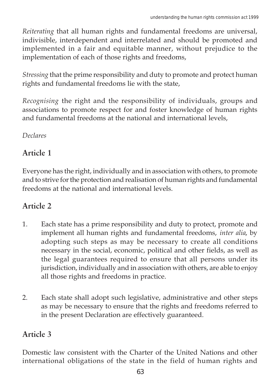*Reiterating* that all human rights and fundamental freedoms are universal, indivisible, interdependent and interrelated and should be promoted and implemented in a fair and equitable manner, without prejudice to the implementation of each of those rights and freedoms,

*Stressing* that the prime responsibility and duty to promote and protect human rights and fundamental freedoms lie with the state,

*Recognising* the right and the responsibility of individuals, groups and associations to promote respect for and foster knowledge of human rights and fundamental freedoms at the national and international levels,

*Declares*

#### **Article 1**

Everyone has the right, individually and in association with others, to promote and to strive for the protection and realisation of human rights and fundamental freedoms at the national and international levels.

#### **Article 2**

- 1. Each state has a prime responsibility and duty to protect, promote and implement all human rights and fundamental freedoms, *inter alia*, by adopting such steps as may be necessary to create all conditions necessary in the social, economic, political and other fields, as well as the legal guarantees required to ensure that all persons under its jurisdiction, individually and in association with others, are able to enjoy all those rights and freedoms in practice.
- 2. Each state shall adopt such legislative, administrative and other steps as may be necessary to ensure that the rights and freedoms referred to in the present Declaration are effectively guaranteed.

#### **Article 3**

Domestic law consistent with the Charter of the United Nations and other international obligations of the state in the field of human rights and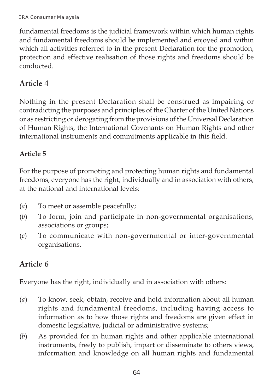fundamental freedoms is the judicial framework within which human rights and fundamental freedoms should be implemented and enjoyed and within which all activities referred to in the present Declaration for the promotion, protection and effective realisation of those rights and freedoms should be conducted.

#### **Article 4**

Nothing in the present Declaration shall be construed as impairing or contradicting the purposes and principles of the Charter of the United Nations or as restricting or derogating from the provisions of the Universal Declaration of Human Rights, the International Covenants on Human Rights and other international instruments and commitments applicable in this field.

#### **Article 5**

For the purpose of promoting and protecting human rights and fundamental freedoms, everyone has the right, individually and in association with others, at the national and international levels:

- (*a*) To meet or assemble peacefully;
- (*b*) To form, join and participate in non-governmental organisations, associations or groups;
- (*c*) To communicate with non-governmental or inter-governmental organisations.

#### **Article 6**

Everyone has the right, individually and in association with others:

- (*a*) To know, seek, obtain, receive and hold information about all human rights and fundamental freedoms, including having access to information as to how those rights and freedoms are given effect in domestic legislative, judicial or administrative systems;
- (*b*) As provided for in human rights and other applicable international instruments, freely to publish, impart or disseminate to others views, information and knowledge on all human rights and fundamental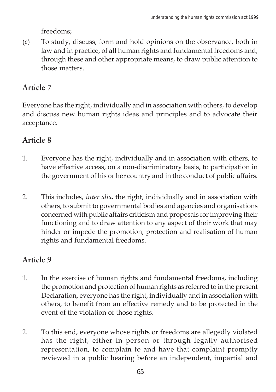freedoms;

(*c*) To study, discuss, form and hold opinions on the observance, both in law and in practice, of all human rights and fundamental freedoms and, through these and other appropriate means, to draw public attention to those matters.

# **Article 7**

Everyone has the right, individually and in association with others, to develop and discuss new human rights ideas and principles and to advocate their acceptance.

## **Article 8**

- 1. Everyone has the right, individually and in association with others, to have effective access, on a non-discriminatory basis, to participation in the government of his or her country and in the conduct of public affairs.
- 2. This includes, *inter alia*, the right, individually and in association with others, to submit to governmental bodies and agencies and organisations concerned with public affairs criticism and proposals for improving their functioning and to draw attention to any aspect of their work that may hinder or impede the promotion, protection and realisation of human rights and fundamental freedoms.

# **Article 9**

- 1. In the exercise of human rights and fundamental freedoms, including the promotion and protection of human rights as referred to in the present Declaration, everyone has the right, individually and in association with others, to benefit from an effective remedy and to be protected in the event of the violation of those rights.
- 2. To this end, everyone whose rights or freedoms are allegedly violated has the right, either in person or through legally authorised representation, to complain to and have that complaint promptly reviewed in a public hearing before an independent, impartial and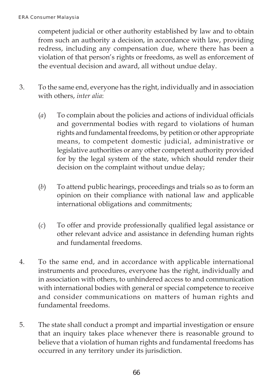competent judicial or other authority established by law and to obtain from such an authority a decision, in accordance with law, providing redress, including any compensation due, where there has been a violation of that person's rights or freedoms, as well as enforcement of the eventual decision and award, all without undue delay.

- 3. To the same end, everyone has the right, individually and in association with others, *inter alia*:
	- (*a*) To complain about the policies and actions of individual officials and governmental bodies with regard to violations of human rights and fundamental freedoms, by petition or other appropriate means, to competent domestic judicial, administrative or legislative authorities or any other competent authority provided for by the legal system of the state, which should render their decision on the complaint without undue delay;
	- (*b*) To attend public hearings, proceedings and trials so as to form an opinion on their compliance with national law and applicable international obligations and commitments;
	- (*c*) To offer and provide professionally qualified legal assistance or other relevant advice and assistance in defending human rights and fundamental freedoms.
- 4. To the same end, and in accordance with applicable international instruments and procedures, everyone has the right, individually and in association with others, to unhindered access to and communication with international bodies with general or special competence to receive and consider communications on matters of human rights and fundamental freedoms.
- 5. The state shall conduct a prompt and impartial investigation or ensure that an inquiry takes place whenever there is reasonable ground to believe that a violation of human rights and fundamental freedoms has occurred in any territory under its jurisdiction.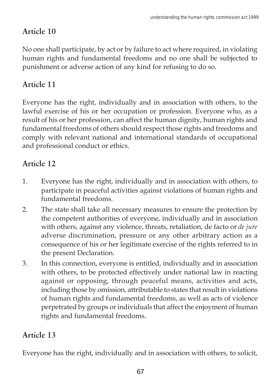# **Article 10**

No one shall participate, by act or by failure to act where required, in violating human rights and fundamental freedoms and no one shall be subjected to punishment or adverse action of any kind for refusing to do so.

# **Article 11**

Everyone has the right, individually and in association with others, to the lawful exercise of his or her occupation or profession. Everyone who, as a result of his or her profession, can affect the human dignity, human rights and fundamental freedoms of others should respect those rights and freedoms and comply with relevant national and international standards of occupational and professional conduct or ethics.

## **Article 12**

- 1. Everyone has the right, individually and in association with others, to participate in peaceful activities against violations of human rights and fundamental freedoms.
- 2. The state shall take all necessary measures to ensure the protection by the competent authorities of everyone, individually and in association with others, against any violence, threats, retaliation, de facto or *de jure* adverse discrimination, pressure or any other arbitrary action as a consequence of his or her legitimate exercise of the rights referred to in the present Declaration.
- 3. In this connection, everyone is entitled, individually and in association with others, to be protected effectively under national law in reacting against or opposing, through peaceful means, activities and acts, including those by omission, attributable to states that result in violations of human rights and fundamental freedoms, as well as acts of violence perpetrated by groups or individuals that affect the enjoyment of human rights and fundamental freedoms.

## **Article 13**

Everyone has the right, individually and in association with others, to solicit,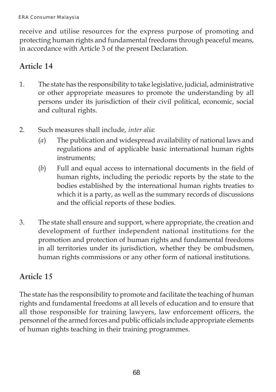receive and utilise resources for the express purpose of promoting and protecting human rights and fundamental freedoms through peaceful means, in accordance with Article 3 of the present Declaration.

### **Article 14**

- 1. The state has the responsibility to take legislative, judicial, administrative or other appropriate measures to promote the understanding by all persons under its jurisdiction of their civil political, economic, social and cultural rights.
- 2. Such measures shall include, *inter alia*:
	- (*a*) The publication and widespread availability of national laws and regulations and of applicable basic international human rights instruments;
	- (*b*) Full and equal access to international documents in the field of human rights, including the periodic reports by the state to the bodies established by the international human rights treaties to which it is a party, as well as the summary records of discussions and the official reports of these bodies.
- 3. The state shall ensure and support, where appropriate, the creation and development of further independent national institutions for the promotion and protection of human rights and fundamental freedoms in all territories under its jurisdiction, whether they be ombudsmen, human rights commissions or any other form of national institutions.

#### **Article 15**

The state has the responsibility to promote and facilitate the teaching of human rights and fundamental freedoms at all levels of education and to ensure that all those responsible for training lawyers, law enforcement officers, the personnel of the armed forces and public officials include appropriate elements of human rights teaching in their training programmes.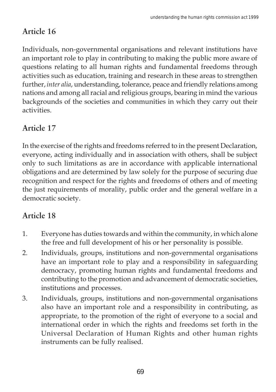# **Article 16**

Individuals, non-governmental organisations and relevant institutions have an important role to play in contributing to making the public more aware of questions relating to all human rights and fundamental freedoms through activities such as education, training and research in these areas to strengthen further, *inter alia*, understanding, tolerance, peace and friendly relations among nations and among all racial and religious groups, bearing in mind the various backgrounds of the societies and communities in which they carry out their activities.

# **Article 17**

In the exercise of the rights and freedoms referred to in the present Declaration, everyone, acting individually and in association with others, shall be subject only to such limitations as are in accordance with applicable international obligations and are determined by law solely for the purpose of securing due recognition and respect for the rights and freedoms of others and of meeting the just requirements of morality, public order and the general welfare in a democratic society.

## **Article 18**

- 1. Everyone has duties towards and within the community, in which alone the free and full development of his or her personality is possible.
- 2. Individuals, groups, institutions and non-governmental organisations have an important role to play and a responsibility in safeguarding democracy, promoting human rights and fundamental freedoms and contributing to the promotion and advancement of democratic societies, institutions and processes.
- 3. Individuals, groups, institutions and non-governmental organisations also have an important role and a responsibility in contributing, as appropriate, to the promotion of the right of everyone to a social and international order in which the rights and freedoms set forth in the Universal Declaration of Human Rights and other human rights instruments can be fully realised.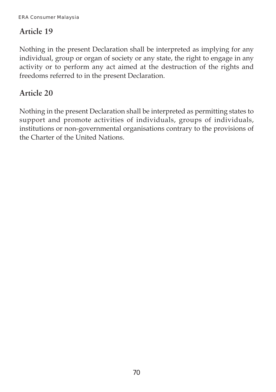### **Article 19**

Nothing in the present Declaration shall be interpreted as implying for any individual, group or organ of society or any state, the right to engage in any activity or to perform any act aimed at the destruction of the rights and freedoms referred to in the present Declaration.

#### **Article 20**

Nothing in the present Declaration shall be interpreted as permitting states to support and promote activities of individuals, groups of individuals, institutions or non-governmental organisations contrary to the provisions of the Charter of the United Nations.